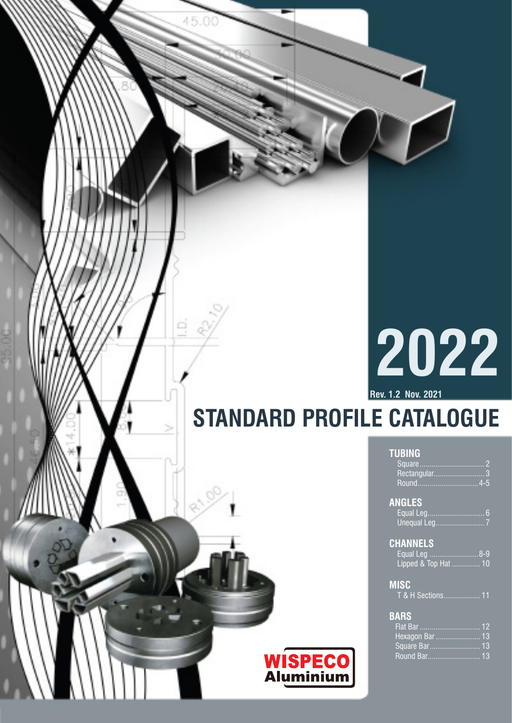# **2022**

**Rev. 1.2 Nov. 2021**

**TUBING**

**ANGLES**

**CHANNELS**

**MI** 

**B** 

# **STANDARD PROFILE CATALOGUE**

| <b>TUBING</b>                |
|------------------------------|
|                              |
|                              |
|                              |
| <b>ANGLES</b>                |
|                              |
|                              |
| <b>CHANNELS</b>              |
|                              |
| Lipped & Top Hat  10         |
| <b>MISC</b>                  |
| <u>T &amp; H Sections 11</u> |
| <b>BARS</b>                  |
|                              |
| <mark>Нехадоп Ваг</mark> 13  |
| Square Bar 13                |
| Round Bar 13                 |

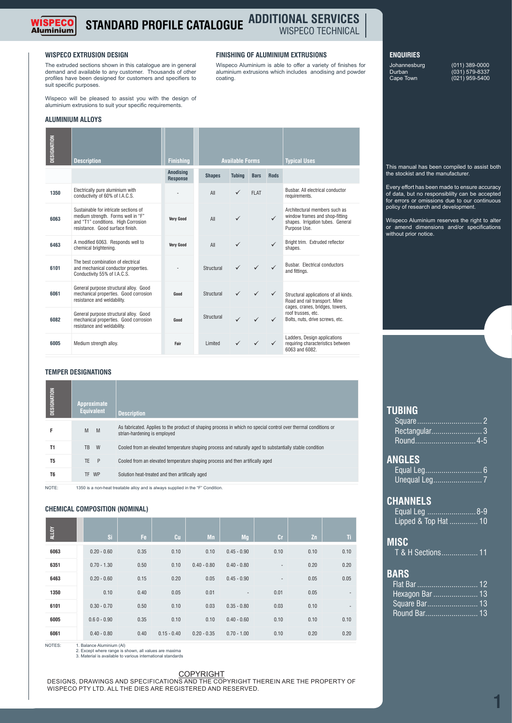

#### **STANDARD PROFILE CATALOGUE ADDITIONAL SERVICES** WISPECO TECHNICAL

coating.

Wispeco Aluminium is able to offer a variety of finishes for aluminium extrusions which includes anodising and powder

#### **WISPECO EXTRUSION DESIGN FINISHING OF ALUMINIUM EXTRUSIONS**

The extruded sections shown in this catalogue are in general demand and available to any customer. Thousands of other profiles have been designed for customers and specifiers to suit specific purposes.

Wispeco will be pleased to assist you with the design of aluminium extrusions to suit your specific requirements.

#### **ALUMINIUM ALLOYS**

| DESIGNATION    | Description                                                                                                                                            |                                                                                                          | <b>Finishing</b>                    |               | <b>Available Forms</b> |             |              | <b>Typical Uses</b>                                                                                                  |
|----------------|--------------------------------------------------------------------------------------------------------------------------------------------------------|----------------------------------------------------------------------------------------------------------|-------------------------------------|---------------|------------------------|-------------|--------------|----------------------------------------------------------------------------------------------------------------------|
|                |                                                                                                                                                        |                                                                                                          | <b>Anodising</b><br><b>Response</b> | <b>Shapes</b> | <b>Tubing</b>          | <b>Bars</b> | <b>Rods</b>  |                                                                                                                      |
| 1350           | Electrically pure aluminium with<br>conductivity of 60% of I.A.C.S.                                                                                    |                                                                                                          |                                     | All           |                        | <b>FLAT</b> |              | Busbar. All electrical conductor<br>requirements.                                                                    |
| 6063           | Sustainable for intricate sections of<br>medium strength. Forms well in "F"<br>and "T1" conditions. High Corrosion<br>resistance. Good surface finish. |                                                                                                          | <b>Verv Good</b>                    | All           | ✓                      |             | $\checkmark$ | Architectural members such as<br>window frames and shop-fitting<br>shapes. Irrigation tubes. General<br>Purpose Use. |
| 6463           | A modified 6063. Responds well to<br>chemical brightening.                                                                                             |                                                                                                          | <b>Very Good</b>                    | All           | ✓                      |             | $\checkmark$ | Bright trim. Extruded reflector<br>shapes.                                                                           |
| 6101           | The best combination of electrical<br>and mechanical conductor properties.<br>Conductivity 55% of I.A.C.S.                                             |                                                                                                          |                                     | Structural    |                        |             | $\checkmark$ | Busbar. Electrical conductors<br>and fittings.                                                                       |
| 6061           | General purpose structural alloy. Good<br>mechanical properties. Good corrosion<br>resistance and weldability.                                         |                                                                                                          | Good                                | Structural    |                        | ✓           | ✓            | Structural applications of all kinds.<br>Road and rail transport. Mine<br>cages, cranes, bridges, towers,            |
| 6082           | General purpose structural alloy. Good<br>mechanical properties. Good corrosion<br>resistance and weldability.                                         |                                                                                                          | Good                                | Structural    |                        |             | ✓            | roof trusses, etc.<br>Bolts, nuts, drive screws, etc.                                                                |
| 6005           | Medium strength alloy.                                                                                                                                 |                                                                                                          | Fair                                | Limited       |                        |             | ✓            | Ladders, Design applications<br>requiring characteristics between<br>6063 and 6082.                                  |
|                | <b>TEMPER DESIGNATIONS</b>                                                                                                                             |                                                                                                          |                                     |               |                        |             |              |                                                                                                                      |
| DESIGNATION    | <b>Approximate</b><br><b>Equivalent</b>                                                                                                                | <b>Description</b>                                                                                       |                                     |               |                        |             |              |                                                                                                                      |
| F              | M<br>M                                                                                                                                                 | strian-hardening is employed                                                                             |                                     |               |                        |             |              | As fabricated. Applies to the product of shaping process in which no special control over thermal conditions or      |
| T1             | W<br>TB                                                                                                                                                | Cooled from an elevated temperature shaping process and naturally aged to substantially stable condition |                                     |               |                        |             |              |                                                                                                                      |
| T5             | <b>TE</b><br>P                                                                                                                                         | Cooled from an elevated temperature shaping process and then artifically aged                            |                                     |               |                        |             |              |                                                                                                                      |
| T <sub>6</sub> | TF WP                                                                                                                                                  | Solution heat-treated and then artifically aged                                                          |                                     |               |                        |             |              |                                                                                                                      |

#### **TEMPER DESIGNATIONS**

| As fabricated. Applies to the product of shaping process in which no special control over thermal conditions or<br>M<br>M<br>F<br>strian-hardening is employed<br><b>W</b><br>Т1<br>Cooled from an elevated temperature shaping process and naturally aged to substantially stable condition<br><b>TB</b><br>T5<br>$\mathsf{P}$<br>Cooled from an elevated temperature shaping process and then artifically aged<br>TE.<br>T6<br>TF WP<br>Solution heat-treated and then artifically aged | DESIGNATION | <b>Approximate</b><br><b>Equivalent</b> | <b>Description</b> |
|-------------------------------------------------------------------------------------------------------------------------------------------------------------------------------------------------------------------------------------------------------------------------------------------------------------------------------------------------------------------------------------------------------------------------------------------------------------------------------------------|-------------|-----------------------------------------|--------------------|
|                                                                                                                                                                                                                                                                                                                                                                                                                                                                                           |             |                                         |                    |
|                                                                                                                                                                                                                                                                                                                                                                                                                                                                                           |             |                                         |                    |
|                                                                                                                                                                                                                                                                                                                                                                                                                                                                                           |             |                                         |                    |
|                                                                                                                                                                                                                                                                                                                                                                                                                                                                                           |             |                                         |                    |

#### **CHEMICAL COMPOSITION (NOMINAL)**

| DESIGNATION    | Approximate<br><b>Equivalent</b> |               | <b>Description</b>                                                              |                                                 |                                                                                                                 |               |           |      |      |
|----------------|----------------------------------|---------------|---------------------------------------------------------------------------------|-------------------------------------------------|-----------------------------------------------------------------------------------------------------------------|---------------|-----------|------|------|
| F              | M                                | M             | strian-hardening is employed                                                    |                                                 | As fabricated. Applies to the product of shaping process in which no special control over thermal conditions or |               |           |      |      |
| T1             | TB                               | W             |                                                                                 |                                                 | Cooled from an elevated temperature shaping process and naturally aged to substantially stable condition        |               |           |      |      |
| T <sub>5</sub> | <b>TE</b>                        | P             |                                                                                 |                                                 | Cooled from an elevated temperature shaping process and then artifically aged                                   |               |           |      |      |
| T <sub>6</sub> | TF WP                            |               |                                                                                 | Solution heat-treated and then artifically aged |                                                                                                                 |               |           |      |      |
| NOTE:          |                                  |               | 1350 is a non-heat treatable alloy and is always supplied in the "F" Condition. |                                                 |                                                                                                                 |               |           |      |      |
|                |                                  |               | <b>CHEMICAL COMPOSITION (NOMINAL)</b>                                           |                                                 |                                                                                                                 |               |           |      |      |
| <b>ALLOY</b>   |                                  | Si            | Fe.                                                                             | Cu                                              | Mn                                                                                                              | Mq            | <b>Cr</b> | Zn   | Ti   |
| 6063           |                                  | $0.20 - 0.60$ | 0.35                                                                            | 0.10                                            | 0.10                                                                                                            | $0.45 - 0.90$ | 0.10      | 0.10 | 0.10 |
| 6351           |                                  | $0.70 - 1.30$ | 0.50                                                                            | 0.10                                            | $0.40 - 0.80$                                                                                                   | $0.40 - 0.80$ |           | 0.20 | 0.20 |
| 6463           |                                  | $0.20 - 0.60$ | 0.15                                                                            | 0.20                                            | 0.05                                                                                                            | $0.45 - 0.90$ |           | 0.05 | 0.05 |
| 1350           |                                  | 0.10          | 0.40                                                                            | 0.05                                            | 0.01                                                                                                            |               | 0.01      | 0.05 |      |
| 6101           |                                  | $0.30 - 0.70$ | 0.50                                                                            | 0.10                                            | 0.03                                                                                                            | $0.35 - 0.80$ | 0.03      | 0.10 |      |
| 6005           |                                  | $0.60 - 0.90$ | 0.35                                                                            | 0.10                                            | 0.10                                                                                                            | $0.40 - 0.60$ | 0.10      | 0.10 | 0.10 |
| 6061           |                                  | $0.40 - 0.80$ | 0.40                                                                            | $0.15 - 0.40$                                   | $0.20 - 0.35$                                                                                                   | $0.70 - 1.00$ | 0.10      | 0.20 | 0.20 |
|                |                                  |               |                                                                                 |                                                 |                                                                                                                 |               |           |      |      |

NOTES: 1. Balance Aluminium (Al) 2. Except where range is shown, all values are maxima 3. Material is available to various international standards

COPYRIGHT DESIGNS, DRAWINGS AND SPECIFICATIONS AND THE COPYRIGHT THEREIN ARE THE PROPERTY OF WISPECO PTY LTD. ALL THE DIES ARE REGISTERED AND RESERVED.

#### **ENQUIRIES**

Durban (031) 579-8337 Cape Town (021) 959-5400

Johannesburg (011) 389-0000

This manual has been compiled to assist both the stockist and the manufacturer.

Every effort has been made to ensure accuracy of data, but no responsiblilty can be accepted for errors or omissions due to our continuous policy of research and development.

Wispeco Aluminium reserves the right to alter or amend dimensions and/or specifications without prior notice.

#### **TUBING** Square................................ 2

**ANGLES**

**MISC**

| Rectangular 3<br>Round4-5                                |
|----------------------------------------------------------|
| <b>ANGLES</b>                                            |
| <b>CHANNELS</b><br>Equal Leg 8-9<br>Lipped & Top Hat  10 |
| <b>MISC</b><br>T & H Sections 11                         |

#### **BARS**

| Hexagon Bar  13 |
|-----------------|
| Square Bar 13   |
| Round Bar 13    |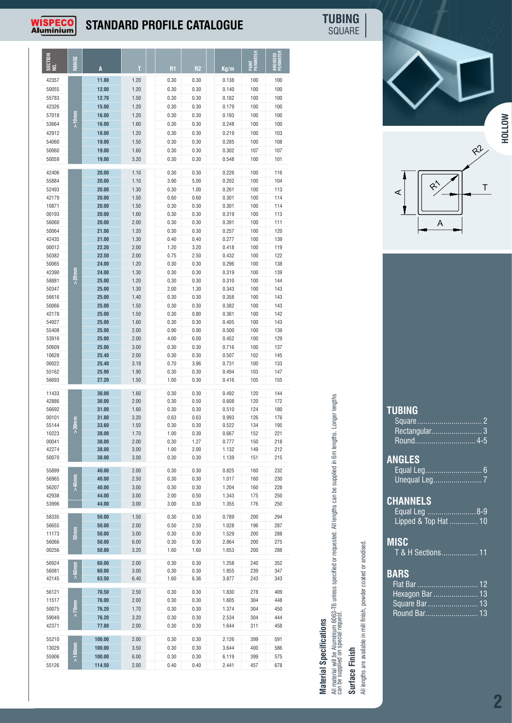

## **STANDARD PROFILE CATALOGUE**

**TUBING** SQUARE

| Rectangular3 |  |
|--------------|--|
|              |  |

| Equal Leg 8-9        |  |
|----------------------|--|
| Lipped & Top Hat  10 |  |

#### **BARS**

# **Material Specifications**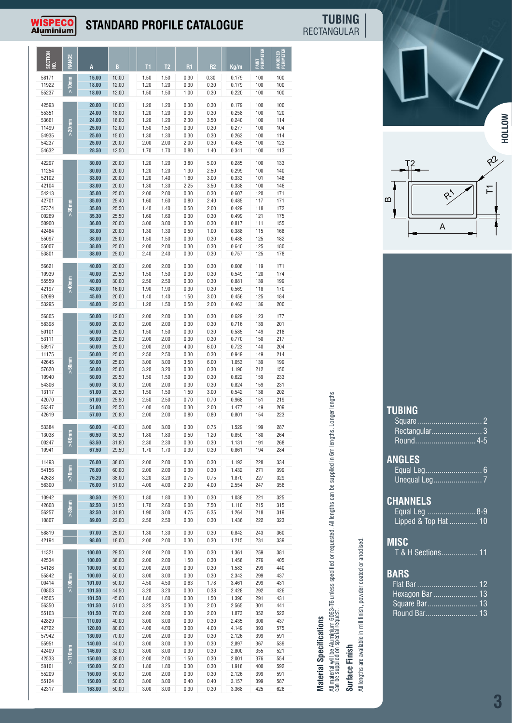## WISPECO

## **STANDARD PROFILE CATALOGUE**

RECTANGULAR **TUBING** T1

R2R3

|               |                                                                                                                     | T2<br><b>R1</b><br>R2<br>T1 .                                                                                                                                                                                                                                                                                                                                                                                                                                                                                                                                                                                                          |                                                                                                                                                                                                  |                                                                                                                                                                                                                                                                                                                                                                                                                                                                                                                                                                                                                                                    |                                                          |
|---------------|---------------------------------------------------------------------------------------------------------------------|----------------------------------------------------------------------------------------------------------------------------------------------------------------------------------------------------------------------------------------------------------------------------------------------------------------------------------------------------------------------------------------------------------------------------------------------------------------------------------------------------------------------------------------------------------------------------------------------------------------------------------------|--------------------------------------------------------------------------------------------------------------------------------------------------------------------------------------------------|----------------------------------------------------------------------------------------------------------------------------------------------------------------------------------------------------------------------------------------------------------------------------------------------------------------------------------------------------------------------------------------------------------------------------------------------------------------------------------------------------------------------------------------------------------------------------------------------------------------------------------------------------|----------------------------------------------------------|
| $\frac{1}{2}$ | 10.00<br>12.00<br>12.00                                                                                             | 1.50<br>1.50<br>0.30<br>0.30<br>1.20<br>0.30<br>0.30<br>1.20<br>1.00<br>0.30<br>1.50<br>1.50                                                                                                                                                                                                                                                                                                                                                                                                                                                                                                                                           | 100<br>100<br>100<br>100<br>100<br>100                                                                                                                                                           |                                                                                                                                                                                                                                                                                                                                                                                                                                                                                                                                                                                                                                                    |                                                          |
|               | 10.00<br>18.00<br>18.00<br>12.00<br>15.00<br>$20.00$<br>12.50                                                       | 1.20<br>0.30<br>0.30<br>1.20<br>1.20<br>0.30<br>0.30<br>1.20<br>1.20<br>2.30<br>3.50<br>1.50<br>1.50<br>0.30<br>0.30<br>1.30<br>0.30<br>0.30<br>1.30<br>2.00<br>2.00<br>0.30<br>2.00<br>1.70<br>1.70<br>0.80<br>1.40                                                                                                                                                                                                                                                                                                                                                                                                                   | 120<br>100<br>100<br>114<br>100<br>104<br>100<br>114<br>123<br>100<br>100<br>113                                                                                                                 |                                                                                                                                                                                                                                                                                                                                                                                                                                                                                                                                                                                                                                                    | <b>HOLLOW</b>                                            |
|               | 20.00<br>20.00<br>20.00<br>$20.00$<br>25.00<br>25.40<br>25.50<br>25.50<br>20.00<br>20.00<br>25.00<br>25.00<br>25.00 | 1.20<br>1.20<br>3.80<br>5.00<br>1.20<br>1.30<br>2.50<br>1.20<br>1.60<br>1.20<br>1.40<br>3.00<br>2.25<br>3.50<br>1.30<br>1.30<br>2.00<br>0.30<br>2.00<br>0.30<br>1.60<br>0.80<br>2.40<br>1.60<br>0.50<br>2.00<br>1.40<br>1.40<br>1.60<br>0.30<br>0.30<br>1.60<br>3.00<br>0.30<br>0.30<br>3.00<br>1.30<br>0.50<br>1.00<br>1.30<br>1.50<br>0.30<br>1.50<br>0.30<br>2.00<br>0.30<br>0.30<br>2.00<br>2.40<br>0.30<br>0.30<br>2.40                                                                                                                                                                                                           | 133<br>100<br>100<br>140<br>101<br>148<br>100<br>146<br>120<br>171<br>171<br>117<br>172<br>118<br>175<br>121<br>155<br>111<br>168<br>115<br>182<br>125<br>125<br>180<br>178<br>125               | $\Omega$                                                                                                                                                                                                                                                                                                                                                                                                                                                                                                                                                                                                                                           | $Q^2$<br>A                                               |
|               | 20.00<br>29.50<br>30.00<br>16.00<br>20.00<br>22.00                                                                  | 2.00<br>2.00<br>0.30<br>0.30<br>1.50<br>0.30<br>0.30<br>1.50<br>2.50<br>2.50<br>0.30<br>0.30<br>0.30<br>0.30<br>1.90<br>1.90<br>1.50<br>3.00<br>1.40<br>1.40<br>1.50<br>0.50<br>2.00<br>1.20                                                                                                                                                                                                                                                                                                                                                                                                                                           | 171<br>119<br>174<br>120<br>199<br>139<br>170<br>118<br>184<br>125<br>136<br>200                                                                                                                 |                                                                                                                                                                                                                                                                                                                                                                                                                                                                                                                                                                                                                                                    |                                                          |
|               | 12.00<br>20.00<br>25.00<br>25.00<br>25.00<br>25.00<br>25.00<br>25.00<br>29.50<br>30.00<br>20.50<br>25.50<br>25.50   | 2.00<br>2.00<br>0.30<br>0.30<br>2.00<br>0.30<br>0.30<br>2.00<br>1.50<br>1.50<br>0.30<br>0.30<br>2.00<br>0.30<br>0.30<br>2.00<br>2.00<br>2.00<br>4.00<br>6.00<br>2.50<br>0.30<br>0.30<br>2.50<br>3.00<br>3.50<br>6.00<br>3.00<br>3.20<br>0.30<br>0.30<br>3.20<br>1.50<br>0.30<br>0.30<br>1.50<br>2.00<br>0.30<br>0.30<br>2.00<br>1.50<br>1.50<br>3.00<br>1.50<br>2.50<br>2.50<br>0.70<br>0.70<br>0.30<br>2.00<br>4.00<br>4.00<br>2.00<br>2.00<br>0.80<br>0.80                                                                                                                                                                           | 177<br>123<br>201<br>139<br>218<br>149<br>150<br>217<br>204<br>140<br>214<br>149<br>139<br>199<br>212<br>150<br>159<br>233<br>159<br>231<br>202<br>138<br>151<br>219<br>209<br>149<br>223<br>154 |                                                                                                                                                                                                                                                                                                                                                                                                                                                                                                                                                                                                                                                    | <b>TUBING</b>                                            |
|               | 40.00<br>30.50<br>31.80<br>29.50                                                                                    | 3.00<br>3.00<br>0.30<br>0.75<br>1.80<br>0.50<br>1.20<br>1.80<br>0.30<br>2.30<br>2.30<br>0.30<br>1.70<br>1.70<br>0.30<br>0.30                                                                                                                                                                                                                                                                                                                                                                                                                                                                                                           | 199<br>287<br>264<br>180<br>191<br>268<br>194<br>284                                                                                                                                             | 동                                                                                                                                                                                                                                                                                                                                                                                                                                                                                                                                                                                                                                                  | Square.                                                  |
|               | 38.00<br>60.00<br>38.00<br>51.00                                                                                    | 2.00<br>2.00<br>0.30<br>0.30<br>2.00<br>2.00<br>0.30<br>0.30<br>3.20<br>3.20<br>0.75<br>0.75<br>4.00<br>4.00<br>2.00<br>4.00                                                                                                                                                                                                                                                                                                                                                                                                                                                                                                           | 228<br>334<br>271<br>399<br>227<br>329<br>247<br>356                                                                                                                                             | <b>B</b>                                                                                                                                                                                                                                                                                                                                                                                                                                                                                                                                                                                                                                           | ANGLES                                                   |
|               | 29.50<br>31.50<br>31.80<br>22.00                                                                                    | 1.80<br>1.80<br>0.30<br>0.30<br>2.60<br>6.00<br>7.50<br>1.70<br>1.90<br>3.00<br>4.75<br>6.35<br>2.50<br>0.30<br>0.30<br>2.50                                                                                                                                                                                                                                                                                                                                                                                                                                                                                                           | 221<br>325<br>215<br>315<br>218<br>319<br>222<br>323                                                                                                                                             | ミ                                                                                                                                                                                                                                                                                                                                                                                                                                                                                                                                                                                                                                                  | <b>CHANNELS</b><br>Equal Leg 8-9<br>Lipped & Top Hat  10 |
|               | 25.00<br>18.00                                                                                                      | 1.30<br>1.30<br>0.30<br>0.30<br>2.00<br>2.00<br>0.30<br>0.30                                                                                                                                                                                                                                                                                                                                                                                                                                                                                                                                                                           | 243<br>360<br>231<br>339                                                                                                                                                                         | ರ                                                                                                                                                                                                                                                                                                                                                                                                                                                                                                                                                                                                                                                  | <b>MISC</b>                                              |
| 110.00        | 38.00<br>50.00<br>50.00<br>50.00<br>44.50<br>45.00<br>51.00<br>76.00<br>40.00<br>120.00<br>80.00                    | 0.30<br>2.00<br>1.50<br>2.00<br>0.30<br>2.00<br>0.30<br>0.30<br>2.00<br>3.00<br>3.00<br>0.30<br>0.30<br>4.50<br>0.63<br>4.50<br>1.78<br>3.20<br>0.30<br>3.20<br>0.38<br>0.30<br>1.80<br>1.80<br>1.50<br>3.25<br>0.30<br>2.00<br>3.25<br>2.00<br>2.00<br>0.30<br>2.00<br>3.00<br>3.00<br>0.30<br>0.30<br>4.00<br>3.00<br>4.00<br>4.00                                                                                                                                                                                                                                                                                                   | 276<br>405<br>299<br>440<br>299<br>437<br>299<br>431<br>292<br>426<br>291<br>431<br>301<br>441<br>352<br>522<br>2.435<br>300<br>437<br>4.149<br>393<br>575                                       | ਠ<br>Pg<br>coated or a<br>ခွ<br>SS.<br>der<br>旨<br><sub>S</sub><br>be Aluminium 6063-T6<br>on special request.<br>in mill finish,<br><b>Material Specifications</b>                                                                                                                                                                                                                                                                                                                                                                                                                                                                                | T & H Sections 11<br><b>BARS</b><br>Flat Bar  12         |
|               |                                                                                                                     | 15.00<br>18.00<br>18.00<br>20.00<br>24.00<br>24.00<br>25.00<br>25.00<br>25.00<br>28.50<br>30.00<br>30.00<br>33.00<br>33.00<br>35.00<br>35.00<br>35.00<br>35.30<br>36.00<br>38.00<br>38.00<br>38.00<br>38.00<br>40.00<br>40.00<br>40.00<br>43.00<br>45.00<br>48.00<br>50.00<br>50.00<br>50.00<br>50.00<br>50.00<br>50.00<br>50.00<br>50.00<br>50.00<br>50.00<br>51.00<br>51.00<br>51.00<br>57.00 20.80<br>60.00<br>60.50<br>63.50<br>67.50<br>76.00<br>76.00<br>76.20<br>76.00<br>80.50<br>82.50<br>82.50<br>89.00<br>97.00<br>98.00<br>100.00<br>29.50<br>100.00<br>100.00<br>100.00<br>101.00<br>101.50<br>101.50<br>101.50<br>101.50 | 1.20<br>2.00<br>2.00<br>0.30                                                                                                                                                                     | Ka/m<br>0.179<br>0.179<br>0.220<br>100<br>100<br>0.179<br>0.258<br>0.240<br>0.277<br>0.263<br>0.435<br>0.341<br>0.285<br>0.299<br>0.333<br>0.338<br>0.607<br>0.485<br>0.429<br>0.499<br>0.817<br>0.388<br>0.488<br>0.640<br>0.757<br>0.608<br>0.549<br>0.881<br>0.569<br>0.456<br>0.463<br>0.629<br>0.716<br>0.585<br>0.770<br>0.723<br>0.949<br>1.053<br>1.190<br>0.622<br>0.824<br>0.542<br>0.968<br>1.477<br>0.801<br>1.529<br>0.850<br>1.131<br>0.861<br>1.193<br>1.432<br>1.870<br>2.554<br>1.038<br>1.110<br>1.264<br>1.436<br>0.842<br>1.215<br>1.361<br>259<br>381<br>1.458<br>1.583<br>2.343<br>3.461<br>2.428<br>1.390<br>2.565<br>1.873 | anodised.                                                |

|                                                                                                                                                                                                                                                                                                         | 57<br>m<br>A                                                                                                                                                                                                                                                                                         |
|---------------------------------------------------------------------------------------------------------------------------------------------------------------------------------------------------------------------------------------------------------------------------------------------------------|------------------------------------------------------------------------------------------------------------------------------------------------------------------------------------------------------------------------------------------------------------------------------------------------------|
| can be supplied in 6m lengths. Longer lengths<br>All material will be Aluminium 6063-T6 unless specified or requested. All lengths o<br>can be supplied on special request.<br>All lengths are available in mill finish, powder coated or anodised.<br><b>Material Specifications</b><br>Surface Finish | <b>TUBING</b><br>Square<br>$\overline{2}$<br>$\overline{\mathbf{3}}$<br>Rectangular<br><b>ANGLES</b><br>Unequal Leg<br>$\overline{7}$<br><b>CHANNELS</b><br>Equal Leg<br><u>. 8-9</u><br>Lipped & Top Hat  10<br><b>MISC</b><br>T & H Sections 11<br><b>BARS</b><br>Hexagon Bar  13<br>Square Bar 13 |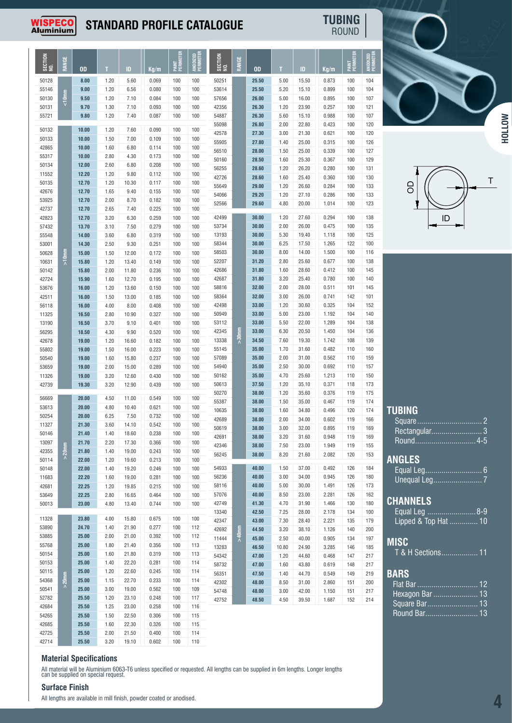## **WISPECO**<br>Aluminium

### **STANDARD PROFILE CATALOGUE**

ROUND **TUBING**

| SECTION<br>MO. | 쁭<br>돑    | 0D             | T            | ID             | Kg/m           | PAINT<br>Perimeter | ANODIZED<br>Perimeter | SECTION<br>NO. | 쁑<br>MA  | <b>OD</b>      | T             | ID             | Kg/m           | I PAINT<br>Perimeter | ANODIZED   |
|----------------|-----------|----------------|--------------|----------------|----------------|--------------------|-----------------------|----------------|----------|----------------|---------------|----------------|----------------|----------------------|------------|
| 50128          |           | 8.00           | 1.20         | 5.60           | 0.069          | 100                | 100                   | 50251          |          | 25.50          | 5.00          | 15.50          | 0.873          | 100                  | 104        |
| 55146          |           | 9.00           | 1.20         | 6.56           | 0.080          | 100                | 100                   | 53614          |          | 25.50          | 5.20          | 15.10          | 0.899          | 100                  | 104        |
| 50130          | <10mm     | 9.50           | 1.20         | 7.10           | 0.084          | 100                | 100                   | 57656          |          | 26.00          | 5.00          | 16.00          | 0.895          | 100                  | 107        |
| 50131          |           | 9.70           | 1.30         | 7.10           | 0.093          | 100                | 100                   | 42356          |          | 26.30          | 1.20          | 23.90          | 0.257          | 100                  | 121        |
| 55721          |           | 9.80           | 1.20         | 7.40           | 0.087          | 100                | 100                   | 54887<br>55098 |          | 26.30<br>26.80 | 5.60<br>2.00  | 15.10<br>22.80 | 0.988<br>0.423 | 100<br>100           | 107<br>120 |
| 50132          |           | 10.00          | 1.20         | 7.60           | 0.090          | 100                | 100                   | 42578          |          | 27.30          | 3.00          | 21.30          | 0.621          | 100                  | 120        |
| 50133          |           | 10.00          | 1.50         | 7.00           | 0.109          | 100                | 100                   | 55905          |          | 27.80          | 1.40          | 25.00          | 0.315          | 100                  | 126        |
| 42865          |           | 10.00          | 1.60         | 6.80           | 0.114          | 100                | 100                   | 56510          |          | 28.00          | 1.50          | 25.00          | 0.339          | 100                  | 127        |
| 55317          |           | 10.00          | 2.80         | 4.30           | 0.173          | 100                | 100                   | 50160          |          | 28.50          | 1.60          | 25.30          | 0.367          | 100                  | 129        |
| 50134<br>11552 |           | 12.00<br>12.20 | 2.60<br>1.20 | 6.80<br>9.80   | 0.208<br>0.112 | 100<br>100         | 100<br>100            | 56255          |          | 28.60          | 1.20          | 26.20          | 0.280          | 100                  | 131        |
| 50135          |           | 12.70          | 1.20         | 10.30          | 0.117          | 100                | 100                   | 42726          |          | 28.60          | 1.60          | 25.40          | 0.360          | 100                  | 130        |
| 42676          |           | 12.70          | 1.65         | 9.40           | 0.155          | 100                | 100                   | 55649          |          | 29.00          | 1.20          | 26.60          | 0.284          | 100                  | 133        |
| 53925          |           | 12.70          | 2.00         | 8.70           | 0.182          | 100                | 100                   | 54066<br>52566 |          | 29.20<br>29.60 | 1.20<br>4.80  | 27.10<br>20.00 | 0.286<br>1.014 | 100<br>100           | 133<br>123 |
| 42737          |           | 12.70          | 2.65         | 7.40           | 0.225          | 100                | 100                   |                |          |                |               |                |                |                      |            |
| 42823          |           | 12.70          | 3.20         | 6.30           | 0.259          | 100                | 100                   | 42499          |          | 30.00          | 1.20          | 27.60          | 0.294          | 100                  | 138        |
| 57432          |           | 13.70          | 3.10         | 7.50           | 0.279          | 100                | 100                   | 53734          |          | 30.00          | 2.00          | 26.00          | 0.475          | 100                  | 135        |
| 55548          |           | 14.00          | 3.60         | 6.80           | 0.319          | 100                | 100                   | 13193          |          | 30.00          | 5.30          | 19.40          | 1.118          | 100                  | 125        |
| 53001          |           | 14.30          | 2.50         | 9.30           | 0.251          | 100                | 100                   | 58344<br>58503 |          | 30.00<br>30.00 | 6.25<br>8.00  | 17.50<br>14.00 | 1.265<br>1.500 | 122<br>100           | 100<br>116 |
| 50628<br>10631 | $>10$ mm  | 15.00<br>15.80 | 1.50<br>1.20 | 12.00<br>13.40 | 0.172<br>0.149 | 100<br>100         | 100<br>100            | 52207          |          | 31.20          | 2.80          | 25.60          | 0.677          | 100                  | 138        |
| 50142          |           | 15.80          | 2.00         | 11.80          | 0.236          | 100                | 100                   | 42686          |          | 31.80          | 1.60          | 28.60          | 0.412          | 100                  | 145        |
| 42724          |           | 15.90          | 1.60         | 12.70          | 0.195          | 100                | 100                   | 42687          |          | 31.80          | 3.20          | 25.40          | 0.780          | 100                  | 140        |
| 53676          |           | 16.00          | 1.20         | 13.60          | 0.150          | 100                | 100                   | 58816          |          | 32.00          | 2.00          | 28.00          | 0.511          | 101                  | 145        |
| 42511          |           | 16.00          | 1.50         | 13.00          | 0.185          | 100                | 100                   | 58364          |          | 32.00          | 3.00          | 26.00          | 0.741          | 142                  | 101        |
| 56118          |           | 16.00          | 4.00         | 8.00           | 0.408          | 100                | 100                   | 42498          |          | 33.00          | 1.20          | 30.60          | 0.325          | 104                  | 152        |
| 11325          |           | 16.50          | 2.80         | 10.90          | 0.327          | 100                | 100                   | 50949          |          | 33.00          | 5.00          | 23.00          | 1.192          | 104                  | 140        |
| 13190          |           | 16.50          | 3.70         | 9.10           | 0.401          | 100                | 100                   | 53112          |          | 33.00          | 5.50          | 22.00          | 1.289          | 104                  | 138        |
| 56295          |           | 18.50          | 4.30         | 9.90           | 0.520          | 100                | 100                   | 42345<br>13338 | $>30$ nm | 33.00          | 6.30          | 20.50          | 1.450          | 104<br>108           | 136        |
| 42678<br>55802 |           | 19.00<br>19.00 | 1.20<br>1.50 | 16.60<br>16.00 | 0.182<br>0.223 | 100<br>100         | 100<br>100            | 55145          |          | 34.50<br>35.00 | 7.60<br>1.70  | 19.30<br>31.60 | 1.742<br>0.482 | 110                  | 139<br>160 |
| 50540          |           | 19.00          | 1.60         | 15.80          | 0.237          | 100                | 100                   | 57089          |          | 35.00          | 2.00          | 31.00          | 0.562          | 110                  | 159        |
| 53659          |           | 19.00          | 2.00         | 15.00          | 0.289          | 100                | 100                   | 54940          |          | 35.00          | 2.50          | 30.00          | 0.692          | 110                  | 157        |
| 11326          |           | 19.00          | 3.20         | 12.60          | 0.430          | 100                | 100                   | 50162          |          | 35.00          | 4.70          | 25.60          | 1.213          | 110                  | 150        |
| 42739          |           | 19.30          | 3.20         | 12.90          | 0.439          | 100                | 100                   | 50613          |          | 37.50          | 1.20          | 35.10          | 0.371          | 118                  | 173        |
| 56669          |           | 20.00          | 4.50         | 11.00          | 0.549          | 100                | 100                   | 50270          |          | 38.00          | 1.20          | 35.60          | 0.376          | 119                  | 175        |
| 53613          |           | 20.00          | 4.80         | 10.40          | 0.621          | 100                | 100                   | 55387          |          | 38.00          | 1.50          | 35.00          | 0.467          | 119                  | 174        |
| 50254          |           | 20.00          | 6.25         | 7.50           | 0.732          | 100                | 100                   | 10635          |          | 38.00<br>38.00 | 1.60          | 34.80          | 0.496          | 120                  | 174        |
| 11327          |           | 21.30          | 3.60         | 14.10          | 0.542          | 100                | 100                   | 42689<br>50619 |          | 38.00          | 2.00<br>3.00  | 34.00<br>32.00 | 0.602<br>0.895 | 119<br>119           | 166<br>169 |
| 50146          |           | 21.40          | 1.40         | 18.60          | 0.238          | 100                | 100                   | 42691          |          | 38.00          | 3.20          | 31.60          | 0.948          | 119                  | 169        |
| 13097          |           | 21.70          | 2.20         | 17.30          | 0.366          | 100                | 100                   | 42346          |          | 38.00          | 7.50          | 23.00          | 1.949          | 119                  | 155        |
| 42355          | $> 20$ mm | 21.80          | 1.40         | 19.00          | 0.243          | 100                | 100                   | 56245          |          | 38.00          | 8.20          | 21.60          | 2.082          | 120                  | 153        |
| 50114          |           | 22.00          | 1.20         | 19.60          | 0.213          | 100                | 100                   | 54933          |          | 40.00          | 1.50          | 37.00          | 0.492          | 126                  | 184        |
| 50148<br>11683 |           | 22.00<br>22.20 | 1.40<br>1.60 | 19.20<br>19.00 | 0.246<br>0.281 | 100<br>100         | 100<br>100            | 56236          |          | 40.00          | 3.00          | 34.00          | 0.945          | 126                  | 180        |
| 42681          |           | 22.25          | 1.20         | 19.85          | 0.215          | 100                | 100                   | 58116          |          | 40.00          | 5.00          | 30.00          | 1.491          | 126                  | 173        |
| 53649          |           | 22.25          | 2.80         | 16.65          | 0.464          | 100                | 100                   | 57076          |          | 40.00          | 8.50          | 23.00          | 2.281          | 126                  | 162        |
| 50013          |           | 23.00          | 4.80         | 13.40          | 0.744          | 100                | 100                   | 42749          |          | 41.30          | 4.70          | 31.90          | 1.466          | 130                  | 180        |
|                |           |                |              |                |                |                    |                       | 13340          |          | 42.50          | 7.25          | 28.00          | 2.178          | 134                  | 100        |
| 11328          |           | 23.80          | 4.00         | 15.80          | 0.675          | 100                | 100                   | 42347          |          | 43.00          | 7.30          | 28.40          | 2.221          | 135                  | 179        |
| 53890<br>53885 |           | 24.70<br>25.00 | 1.40<br>2.00 | 21.90<br>21.00 | 0.277<br>0.392 | 100<br>100         | 112<br>112            | 42692          | $>40$ mm | 44.50          | 3.20          | 38.10          | 1.126          | 140                  | 200        |
| 55768          |           | 25.00          | 1.80         | 21.40          | 0.356          | 100                | 113                   | 11444          |          | 45.00          | 2.50          | 40.00          | 0.905          | 134                  | 197        |
| 50154          |           | 25.00          | 1.60         | 21.80          | 0.319          | 100                | 113                   | 13283<br>54342 |          | 46.50<br>47.00 | 10.80<br>1.20 | 24.90<br>44.60 | 3.285<br>0.468 | 146<br>147           | 185<br>217 |
| 50153          |           | 25.00          | 1.40         | 22.20          | 0.281          | 100                | 114                   | 58732          |          | 47.00          | 1.60          | 43.80          | 0.619          | 148                  | 217        |
| 50115          |           | 25.00          | 1.20         | 22.60          | 0.245          | 100                | 114                   | 56351          |          | 47.50          | 1.40          | 44.70          | 0.549          | 149                  | 219        |
| 54368          | $> 20$ mm | 25.00          | 1.15         | 22.70          | 0.233          | 100                | 114                   | 42302          |          | 48.00          | 8.50          | 31.00          | 2.860          | 151                  | 200        |
| 50541          |           | 25.00          | 3.00         | 19.00          | 0.562          | 100                | 109                   | 54748          |          | 48.00          | 3.00          | 42.00          | 1.150          | 151                  | 217        |
| 52782          |           | 25.50          | 1.20         | 23.10          | 0.248          | 100                | 117                   | 42752          |          | 48.50          | 4.50          | 39.50          | 1.687          | 152                  | 214        |
| 42684<br>54265 |           | 25.50<br>25.50 | 1.25<br>1.50 | 23.00<br>22.50 | 0.258<br>0.306 | 100<br>100         | 116<br>115            |                |          |                |               |                |                |                      |            |
| 42685          |           | 25.50          | 1.60         | 22.30          | 0.326          | 100                | 115                   |                |          |                |               |                |                |                      |            |
| 42725          |           | 25.50          | 2.00         | 21.50          | 0.400          | 100                | 114                   |                |          |                |               |                |                |                      |            |
| 42714          |           | 25.50          | 3.20         | 19.10          | 0.602          | 100                | 110                   |                |          |                |               |                |                |                      |            |
|                |           |                |              |                |                |                    |                       |                |          |                |               |                |                |                      |            |





| <b>TUBING</b>              |
|----------------------------|
|                            |
| Rectangular <sub>.</sub> 3 |
| Round <del></del> 4-5      |
|                            |
| <b>ANGLES</b>              |
| Equal Leg 6                |
|                            |
|                            |
| <b>CHANNELS</b>            |
| Equal Leg 8-9              |
| Lipped & Top Hat  10       |
|                            |
| <b>MISC</b>                |
| T & H Sections 11          |
|                            |
|                            |
| <b>BARS</b>                |
|                            |
| Hexagon Bar 13             |
| Square Bar 13              |
| Round Bar 13               |

#### **Material Specifications**

All material will be Aluminium 6063-T6 unless specified or requested. All lengths can be supplied in 6m lengths. Longer lengths can be supplied on special request.

#### **Surface Finish**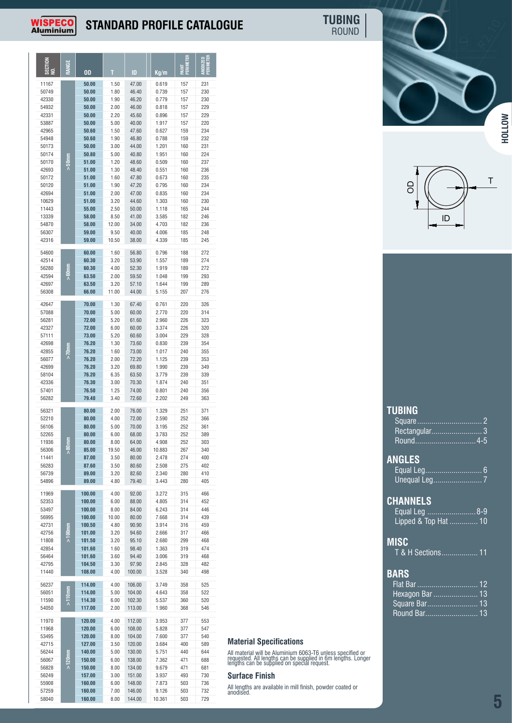### **STANDARD PROFILE CATALOGUE**

**PAINT PERIMETER ANODIZED PERIMETER**

**T ID Kg/m**

 **50.00** 1.80 46.40 0.739 157 230 **50.00** 1.90 46.20 0.779 157 230 **50.00** 2.00 46.00 0.818 157 229 **50.00** 2.20 45.60 0.896 157 229 **50.00** 5.00 40.00 1.917 157 220 **50.60** 1.50 47.60 0.627 159 234 **50.60** 1.90 46.80 0.788 159 232 **50.00** 3.00 44.00 1.201 160 231 **50.80** 5.00 40.80 1.951 160 224 **51.00** 1.20 48.60 0.509 160 237 **51.00** 1.30 48.40 0.551 160 236 **51.00** 1.60 47.80 0.673 160 235 **51.00** 1.90 47.20 0.795 160 234 **51.00** 2.00 47.00 0.835 160 234 **51.00** 3.20 44.60 1.303 160 230 **55.00** 2.50 50.00 1.118 165 244 **58.00** 8.50 41.00 3.585 182 246 **58.00** 12.00 34.00 4.703 182 236 **59.00** 9.50 40.00 4.006 185 248 **59.00** 10.50 38.00 4.339 185 245

**50.00** 1.50 47.00 0.619 157 231

**60.00** 1.60 56.80 0.796 188 272

42514 **60.30** 3.20 53.90 1.557 189 274 56280 **60.30** 4.00 52.30 1.919 189 272

**SECTI NO. RANGE**

**WISPECO** Al<u>uminium</u>

11167<br>50749

54600

**>50mm**

**OD**

ROUND **TUBING**

|  | <b>HOLLOW</b> |
|--|---------------|



| <b>TUBING</b> |        |  |
|---------------|--------|--|
|               | Square |  |

| Rectangular 3         |  |
|-----------------------|--|
| Round <del></del> 4-5 |  |
|                       |  |
| <b>ANGLES</b>         |  |
| Equal Leg 6           |  |
|                       |  |
|                       |  |
| <b>CHANNELS</b>       |  |
| Equal Leg 8-9         |  |
| Lipped & Top Hat  10  |  |
|                       |  |
| MISC                  |  |
| T & H Sections 11     |  |
|                       |  |
| <b>BARS</b>           |  |
|                       |  |
| Hexagon Bar  13       |  |
| Square Bar 13         |  |
| Round Bar 13          |  |
|                       |  |

| 56280 |               | 60.30  | 4.00  | 52.30  | 1.919  | 189 | 272 |
|-------|---------------|--------|-------|--------|--------|-----|-----|
| 42594 | is<br>SSS∧    | 63.50  | 2.00  | 59.50  | 1.048  | 199 | 293 |
| 42697 |               | 63.50  | 3.20  | 57.10  | 1.644  | 199 | 289 |
| 56308 |               | 66.00  | 11.00 | 44.00  | 5.155  | 207 | 276 |
|       |               |        |       |        |        |     |     |
| 42647 |               | 70.00  | 1.30  | 67.40  | 0.761  | 220 | 326 |
| 57088 |               | 70.00  | 5.00  | 60.00  | 2.770  | 220 | 314 |
| 56281 |               | 72.00  | 5.20  | 61.60  | 2.960  | 226 | 323 |
| 42327 |               | 72.00  | 6.00  | 60.00  | 3.374  | 226 | 320 |
| 57111 |               | 73.00  | 5.20  | 60.60  | 3.004  | 229 | 328 |
| 42698 |               | 76.20  | 1.30  | 73.60  | 0.830  | 239 | 354 |
| 42855 | mulx<         | 76.20  | 1.60  | 73.00  | 1.017  | 240 | 355 |
| 56077 |               | 76.20  | 2.00  | 72.20  | 1.125  | 239 | 353 |
| 42699 |               | 76.20  | 3.20  | 69.80  | 1.990  | 239 | 349 |
| 58104 |               | 76.20  | 6.35  | 63.50  | 3.779  | 239 | 339 |
| 42336 |               | 76.30  | 3.00  | 70.30  | 1.874  | 240 | 351 |
| 57401 |               | 76.50  | 1.25  | 74.00  | 0.801  | 240 | 356 |
| 56282 |               | 79.40  | 3.40  | 72.60  | 2.202  | 249 | 363 |
|       |               |        |       |        |        |     |     |
| 56321 |               | 80.00  | 2.00  | 76.00  | 1.329  | 251 | 371 |
| 52210 |               | 80.00  | 4.00  | 72.00  | 2.590  | 252 | 366 |
| 56106 |               | 80.00  | 5.00  | 70.00  | 3.195  | 252 | 361 |
| 52265 |               | 80.00  | 6.00  | 68.00  | 3.783  | 252 | 389 |
| 11936 |               | 80.00  | 8.00  | 64.00  | 4.908  | 252 | 303 |
| 56306 | music<br>Solo | 85.00  | 19.50 | 46.00  | 10.883 | 267 | 340 |
| 11441 |               | 87.00  | 3.50  | 80.00  | 2.478  | 274 | 400 |
| 56283 |               | 87.60  | 3.50  | 80.60  | 2.508  | 275 | 402 |
| 56739 |               | 89.00  | 3.20  | 82.60  | 2.340  | 280 | 410 |
| 54896 |               | 89.00  | 4.80  | 79.40  | 3.443  | 280 | 405 |
|       |               |        |       |        |        |     |     |
| 11969 |               | 100.00 | 4.00  | 92.00  | 3.272  | 315 | 466 |
| 52353 |               | 100.00 | 6.00  | 88.00  | 4.805  | 314 | 452 |
| 53497 |               | 100.00 | 8.00  | 84.00  | 6.243  | 314 | 446 |
| 56995 |               | 100.00 | 10.00 | 80.00  | 7.668  | 314 | 439 |
| 42731 |               | 100.50 | 4.80  | 90.90  | 3.914  | 316 | 459 |
| 42756 | E<br>S        | 101.00 | 3.20  | 94.60  | 2.666  | 317 | 466 |
| 11808 | Ā             | 101.50 | 3.20  | 95.10  | 2.680  | 299 | 468 |
| 42854 |               | 101.60 | 1.60  | 98.40  | 1.363  | 319 | 474 |
| 56464 |               | 101.60 | 3.60  | 94.40  | 3.006  | 319 | 468 |
| 42795 |               | 104.50 | 3.30  | 97.90  | 2.845  | 328 | 482 |
| 11440 |               | 108.00 | 4.00  | 100.00 | 3.528  | 340 | 498 |
|       |               |        |       |        |        |     |     |
| 56237 |               | 114.00 | 4.00  | 106.00 | 3.749  | 358 | 525 |
| 56051 | Ē             | 114.00 | 5.00  | 104.00 | 4.643  | 358 | 522 |
| 11590 |               | 114.30 | 6.00  | 102.30 | 5.537  | 360 | 520 |
| 54050 |               | 117.00 | 2.00  | 113.00 | 1.960  | 368 | 546 |
|       |               |        |       |        |        |     |     |
| 11970 |               | 120.00 | 4.00  | 112.00 | 3.953  | 377 | 553 |
| 11968 |               | 120.00 | 6.00  | 108.00 | 5.828  | 377 | 547 |
| 53495 |               | 120.00 | 8.00  | 104.00 | 7.600  | 377 | 540 |
| 42715 |               | 127.00 | 3.50  | 120.00 | 3.684  | 400 | 589 |
| 56244 |               | 140.00 | 5.00  | 130.00 | 5.751  | 440 | 644 |
| 56067 | $>120$ nn     | 150.00 | 6.00  | 138.00 | 7.362  | 471 | 688 |
| 56828 |               | 150.00 | 8.00  | 134.00 | 9.679  | 471 | 681 |
| 56249 |               | 157.00 | 3.00  | 151.00 | 3.937  | 493 | 730 |
| 55908 |               | 160.00 | 6.00  | 148.00 | 7.873  | 503 | 736 |
| 57259 |               | 160.00 | 7.00  | 146.00 | 9.126  | 503 | 732 |
| 58040 |               | 160.00 | 8.00  | 144.00 | 10.361 | 503 | 729 |
|       |               |        |       |        |        |     |     |

#### **Material Specifications**

All material will be Aluminium 6063-T6 unless specified or requested. All lengths can be supplied in 6m lengths. Longer lengths can be supplied on special request.

#### **Surface Finish**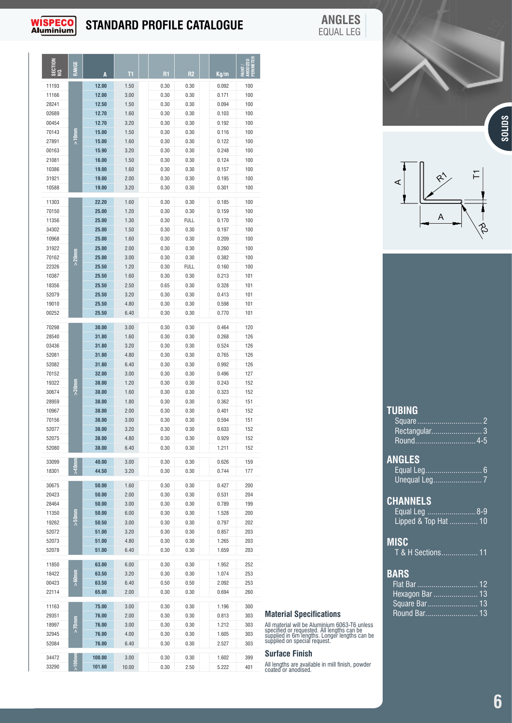## **WISPECO**<br>Aluminium

## **STANDARD PROFILE CATALOGUE**

▕▏▏░▁▕▏▗ਛ▕

**ANGLES** EQUAL LEG

| <b>SECTION</b><br>g | RANGE    | A              | T1           | R <sub>1</sub> | R <sub>2</sub>      | Kg/m           | Ë<br>$\frac{1}{2}$ |
|---------------------|----------|----------------|--------------|----------------|---------------------|----------------|--------------------|
|                     |          | 12.00          |              |                |                     |                |                    |
| 11193               |          |                | 1.50         | 0.30           | 0.30                | 0.092          | 100                |
| 11166<br>28241      |          | 12.00<br>12.50 | 3.00<br>1.50 | 0.30           | 0.30<br>0.30        | 0.171          | 100<br>100         |
| 02689               |          | 12.70          | 1.60         | 0.30<br>0.30   | 0.30                | 0.094<br>0.103 | 100                |
| 00454               |          | 12.70          | 3.20         | 0.30           | 0.30                | 0.192          | 100                |
| 70143               |          | 15.00          | 1.50         | 0.30           | 0.30                | 0.116          | 100                |
| 27891               | ミラス      | 15.00          | 1.60         | 0.30           | 0.30                | 0.122          | 100                |
| 00163               |          | 15.90          | 3.20         | 0.30           | 0.30                | 0.248          | 100                |
| 21081               |          | 16.00          | 1.50         | 0.30           | 0.30                | 0.124          | 100                |
| 10386               |          | 19.00          | 1.60         | 0.30           | 0.30                | 0.157          | 100                |
| 31921               |          | 19.00          | 2.00         | 0.30           | 0.30                | 0.195          | 100                |
| 10588               |          | 19.00          | 3.20         | 0.30           | 0.30                | 0.301          | 100                |
|                     |          |                |              |                |                     |                |                    |
| 11303               |          | 22.20          | 1.60         | 0.30           | 0.30                | 0.185          | 100                |
| 70150               |          | 25.00          | 1.20         | 0.30           | 0.30                | 0.159          | 100                |
| 11356               |          | 25.00          | 1.30         | 0.30           | <b>FULL</b>         | 0.170          | 100                |
| 34302               |          | 25.00          | 1.50         | 0.30           | 0.30                | 0.197          | 100                |
| 10968               |          | 25.00          | 1.60         | 0.30           | 0.30                | 0.209          | 100                |
| 31922               |          | 25.00          | 2.00         | 0.30           | 0.30                | 0.260          | 100                |
| 70162<br>22326      | >20mm    | 25.00<br>25.50 | 3.00<br>1.20 | 0.30<br>0.30   | 0.30<br><b>FULL</b> | 0.382<br>0.160 | 100<br>100         |
| 10387               |          | 25.50          | 1.60         | 0.30           | 0.30                | 0.213          | 101                |
| 18356               |          | 25.50          | 2.50         | 0.65           | 0.30                | 0.328          | 101                |
| 52079               |          | 25.50          | 3.20         | 0.30           | 0.30                | 0.413          | 101                |
| 19010               |          | 25.50          | 4.80         | 0.30           | 0.30                | 0.598          | 101                |
| 00252               |          | 25.50          | 6.40         | 0.30           | 0.30                | 0.770          | 101                |
|                     |          |                |              |                |                     |                |                    |
| 70298               |          | 30.00          | 3.00         | 0.30           | 0.30                | 0.464          | 120                |
| 28540               |          | 31.80          | 1.60         | 0.30           | 0.30                | 0.268          | 126                |
| 03436               |          | 31.80          | 3.20         | 0.30           | 0.30                | 0.524          | 126                |
| 52081               |          | 31.80          | 4.80         | 0.30           | 0.30                | 0.765          | 126                |
| 52082               |          | 31.80          | 6.40         | 0.30           | 0.30                | 0.992          | 126                |
| 70152<br>19322      |          | 32.00<br>38.00 | 3.00<br>1.20 | 0.30<br>0.30   | 0.30<br>0.30        | 0.496<br>0.243 | 127<br>152         |
| 30674               | nmos<    | 38.00          | 1.60         | 0.30           | 0.30                | 0.323          | 152                |
| 28959               |          | 38.00          | 1.80         | 0.30           | 0.30                | 0.362          | 151                |
| 10967               |          | 38.00          | 2.00         | 0.30           | 0.30                | 0.401          | 152                |
| 70156               |          | 38.00          | 3.00         | 0.30           | 0.30                | 0.594          | 151                |
| 52077               |          | 38.00          | 3.20         | 0.30           | 0.30                | 0.633          | 152                |
| 52075               |          | 38.00          | 4.80         | 0.30           | 0.30                | 0.929          | 152                |
| 52080               |          | 38.00          | 6.40         | 0.30           | 0.30                | 1.211          | 152                |
|                     |          | 40.00          |              |                |                     |                |                    |
| 33099               |          |                | 3.00         | 0.30           | 0.30                | 0.626          | 159                |
| 18301               |          | 44.50          | 3.20         | 0.30           | 0.30                | 0.744          | 177                |
| 30675               |          | 50.00          | 1.60         | 0.30           | 0.30                | 0.427          | 200                |
| 20423               |          | 50.00          | 2.00         | 0.30           | 0.30                | 0.531          | 204                |
| 28464               |          | 50.00          | 3.00         | 0.30           | 0.30                | 0.789          | 199                |
| 11350               | 50mm     | 50.00          | 6.00         | 0.30           | 0.30                | 1.528          | 200                |
| 19262               |          | 50.50          | 3.00         | 0.30           | 0.30                | 0.797          | 202                |
| 52072               |          | 51.00          | 3.20         | 0.30           | 0.30                | 0.857          | 203                |
| 52073               |          | 51.00          | 4.80         | 0.30           | 0.30                | 1.265          | 203                |
| 52078               |          | 51.00          | 6.40         | 0.30           | 0.30                | 1.659          | 203                |
| 11850               |          | 63.00          | 6.00         | 0.30           | 0.30                | 1.952          | 252                |
| 18422               | $>60$ nm | 63.50          | 3.20         | 0.30           | 0.30                | 1.074          | 253                |
| 00423               |          | 63.50          | 6.40         | 0.50           | 0.50                | 2.092          | 253                |
| 22114               |          | 65.00          | 2.00         | 0.30           | 0.30                | 0.694          | 260                |
| 11163               |          | 75.00          | 3.00         | 0.30           | 0.30                | 1.196          | 300                |
| 29351               |          | 76.00          | 2.00         | 0.30           | 0.30                | 0.813          | 303                |
| 18997               | mm/>     | 76.00          | 3.00         | 0.30           | 0.30                | 1.212          | 303                |
| 32945               |          | 76.00          | 4.00         | 0.30           | 0.30                | 1.605          | 303                |
| 52084               |          | 76.00          | 6.40         | 0.30           | 0.30                | 2.527          | 303                |
|                     |          |                |              |                |                     |                |                    |
| 34472               |          | 100.00         | 3.00         | 0.30           | 0.30                | 1.602          | 399                |
| 33290               |          | 101.60         | 10.00        | 0.30           | 2.50                | 5.222          | 401                |



 $\mathfrak{F}$ 

**SOLIDS**

C:\AA-LEE\AA-LEE\DRAW\MISCELL\Standards Catalogue drawings.dwg, 2016/11/10 03:08:21 PM, DWG To PDF.pc3

| <b>TUBING</b>        |
|----------------------|
|                      |
| Rectangular 3        |
| Round 4-5            |
| <b>ANGLES</b>        |
|                      |
|                      |
| <b>CHANNELS</b>      |
| Equal Leg 8-9        |
| Lipped & Top Hat  10 |
| MISC                 |
| T & H Sections 11    |
| <b>BARS</b>          |
| <u> Flat Bar  12</u> |
| Hexagon Bar  13      |
| Square Bar 13        |
| Round Bar 13         |
|                      |

**TUBING**

**ANGLES**

**MI** 

#### **Material Specifications**

All material will be Aluminium 6063-T6 unless specified or requested. All lengths can be supplied in 6m lengths. Longer lengths can be supplied on special request.

#### **Surface Finish**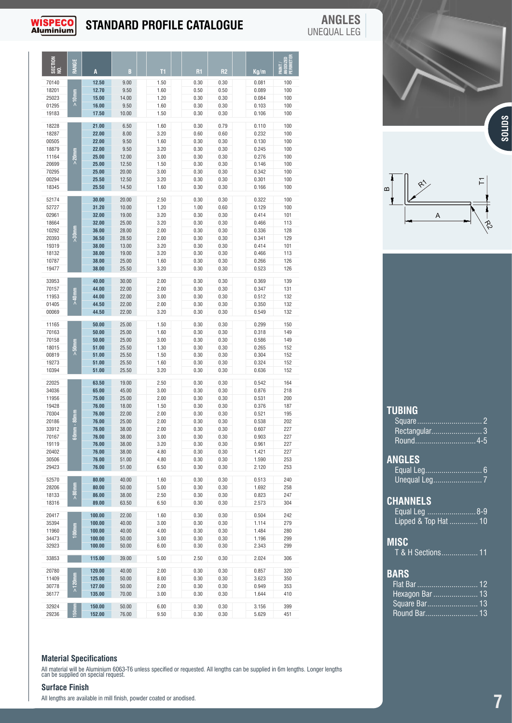## **WISPECO**<br>Aluminium

#### **STANDARD PROFILE CATALOGUE** ID

**ANGLES** UNEQUAL LEG

A

| SECTION<br>NO. |               |        |       |      |      |      | PAINT /<br>Anodized<br>Perimeter |
|----------------|---------------|--------|-------|------|------|------|----------------------------------|
|                |               |        |       | T1   | R1   | R2   | Kg/m                             |
| 70140          |               | 12.50  | 9.00  | 1.50 | 0.30 | 0.30 | 100<br>0.081                     |
| 18201          |               | 12.70  | 9.50  | 1.60 | 0.50 | 0.50 | 100<br>0.089                     |
| 25023          | 흓             | 15.00  | 14.00 | 1.20 | 0.30 | 0.30 | 100<br>0.084                     |
| 01295          |               | 16.00  | 9.50  | 1.60 | 0.30 | 0.30 | 100<br>0.103                     |
| 19183          |               | 17.50  | 10.00 | 1.50 | 0.30 | 0.30 | 100<br>0.106                     |
| 18228          |               | 21.00  | 6.50  | 1.60 | 0.30 | 0.79 | 100<br>0.110                     |
| 18287          |               | 22.00  | 8.00  | 3.20 | 0.60 | 0.60 | 100<br>0.232                     |
| 00505          |               | 22.00  | 9.50  | 1.60 | 0.30 | 0.30 | 100<br>0.130                     |
| 18879          |               | 22.00  | 9.50  | 3.20 | 0.30 | 0.30 | 100<br>0.245                     |
| 11164          |               | 25.00  | 12.00 | 3.00 | 0.30 | 0.30 | 100<br>0.276                     |
| 20699          |               | 25.00  | 12.50 | 1.50 | 0.30 | 0.30 | 100<br>0.146                     |
| 70295          |               | 25.00  | 20.00 | 3.00 | 0.30 | 0.30 | 100<br>0.342                     |
| 00294          |               | 25.50  | 12.50 | 3.20 | 0.30 | 0.30 | 100<br>0.301                     |
| 18345          |               | 25.50  | 14.50 | 1.60 | 0.30 | 0.30 | 100<br>0.166                     |
| 52174          |               | 30.00  | 20.00 | 2.50 | 0.30 | 0.30 | 0.322<br>100                     |
| 52727          |               | 31.20  | 10.00 | 1.20 | 1.00 | 0.60 | 100<br>0.129                     |
| 02961          |               | 32.00  | 19.00 | 3.20 | 0.30 | 0.30 | 101<br>0.414                     |
| 18664          |               | 32.00  | 25.00 | 3.20 | 0.30 | 0.30 | 113<br>0.466                     |
| 10292          |               | 36.00  | 28.00 | 2.00 | 0.30 | 0.30 | 128<br>0.336                     |
| 20393          |               | 36.50  | 28.50 | 2.00 | 0.30 | 0.30 | 129<br>0.341                     |
| 19319          |               | 38.00  | 13.00 | 3.20 | 0.30 | 0.30 | 101<br>0.414                     |
| 18132          |               | 38.00  | 19.00 | 3.20 | 0.30 | 0.30 | 113<br>0.466                     |
| 10787          |               | 38.00  | 25.00 | 1.60 | 0.30 | 0.30 | 126<br>0.266                     |
| 19477          |               | 38.00  | 25.50 | 3.20 | 0.30 | 0.30 | 126<br>0.523                     |
|                |               |        |       |      |      |      |                                  |
| 33953          |               | 40.00  | 30.00 | 2.00 | 0.30 | 0.30 | 0.369<br>139                     |
| 70157          |               | 44.00  | 22.00 | 2.00 | 0.30 | 0.30 | 0.347<br>131                     |
| 11953          |               | 44.00  | 22.00 | 3.00 | 0.30 | 0.30 | 132<br>0.512                     |
| 01405          |               | 44.50  | 22.00 | 2.00 | 0.30 | 0.30 | 132<br>0.350                     |
| 00069          |               | 44.50  | 22.00 | 3.20 | 0.30 | 0.30 | 132<br>0.549                     |
| 11165          |               | 50.00  | 25.00 | 1.50 | 0.30 | 0.30 | 150<br>0.299                     |
| 70163          |               | 50.00  | 25.00 | 1.60 | 0.30 | 0.30 | 149<br>0.318                     |
| 70158          |               | 50.00  | 25.00 | 3.00 | 0.30 | 0.30 | 149<br>0.586                     |
| 18015          |               | 51.00  | 25.50 | 1.30 | 0.30 | 0.30 | 152<br>0.265                     |
| 00819          |               | 51.00  | 25.50 | 1.50 | 0.30 | 0.30 | 152<br>0.304                     |
| 19273          |               | 51.00  | 25.50 | 1.60 | 0.30 | 0.30 | 152<br>0.324                     |
| 10394          |               | 51.00  | 25.50 | 3.20 | 0.30 | 0.30 | 152<br>0.636                     |
|                |               |        |       |      |      |      |                                  |
| 22025          |               | 63.50  | 19.00 | 2.50 | 0.30 | 0.30 | 164<br>0.542                     |
| 34036          |               | 65.00  | 45.00 | 3.00 | 0.30 | 0.30 | 0.876<br>218                     |
| 11956          |               | 75.00  | 25.00 | 2.00 | 0.30 | 0.30 | 200<br>0.531                     |
| 19428          |               | 76.00  | 18.00 | 1.50 | 0.30 | 0.30 | 187<br>0.376                     |
| 70304          |               | 76.00  | 22.00 | 2.00 | 0.30 | 0.30 | 195<br>0.521                     |
| 20186          |               | 76.00  | 25.00 | 2.00 | 0.30 | 0.30 | 202<br>0.538                     |
| 33912          |               | 76.00  | 38.00 | 2.00 | 0.30 | 0.30 | 227<br>0.607                     |
| 70167          |               | 76.00  | 38.00 | 3.00 | 0.30 | 0.30 | 0.903<br>227                     |
| 19119          |               | 76.00  | 38.00 | 3.20 | 0.30 | 0.30 | 227<br>0.961                     |
| 20402          |               | 76.00  | 38.00 | 4.80 | 0.30 | 0.30 | 227<br>1.421                     |
| 30506          |               | 76.00  | 51.00 | 4.80 | 0.30 | 0.30 | 253<br>1.590                     |
| 29423          |               | 76.00  | 51.00 | 6.50 | 0.30 | 0.30 | 253<br>2.120                     |
|                |               |        |       |      |      |      |                                  |
| 52570          |               | 80.00  | 40.00 | 1.60 | 0.30 | 0.30 | 240<br>0.513                     |
| 28206          |               | 80.00  | 50.00 | 5.00 | 0.30 | 0.30 | 1.692<br>258                     |
| 18133          | ຶ∧            | 86.00  | 38.00 | 2.50 | 0.30 | 0.30 | 0.823<br>247                     |
| 18316          |               | 89.00  | 63.50 | 6.50 | 0.30 | 0.30 | 304<br>2.573                     |
| 20417          |               | 100.00 | 22.00 | 1.60 | 0.30 | 0.30 | 0.504<br>242                     |
| 35394          |               | 100.00 | 40.00 | 3.00 | 0.30 | 0.30 | 279<br>1.114                     |
| 11960          |               | 100.00 | 40.00 | 4.00 | 0.30 | 0.30 | 1.484<br>280                     |
| 34473          |               | 100.00 | 50.00 | 3.00 | 0.30 | 0.30 | 1.196<br>299                     |
| 32923          |               | 100.00 | 50.00 | 6.00 | 0.30 | 0.30 | 2.343<br>299                     |
|                |               |        |       |      |      |      |                                  |
| 33853          |               | 115.00 | 39.00 | 5.00 | 2.50 | 0.30 | 306<br>2.024                     |
| 20780          |               | 120.00 | 40.00 | 2.00 | 0.30 | 0.30 | 0.857<br>320                     |
| 11409          |               | 125.00 | 50.00 | 8.00 | 0.30 | 0.30 | 350<br>3.623                     |
| 30778          | $\frac{5}{2}$ | 127.00 | 50.00 | 2.00 | 0.30 | 0.30 | 353<br>0.949                     |
| 36177          |               | 135.00 | 70.00 | 3.00 | 0.30 | 0.30 | 410<br>1.644                     |
|                |               |        |       |      |      |      |                                  |
| 32924          |               | 150.00 | 50.00 | 6.00 | 0.30 | 0.30 | 399<br>3.156                     |
| 29236          |               | 152.00 | 76.00 | 9.50 | 0.30 | 0.30 | 451<br>5.629                     |

#### **Material Specifications**

All material will be Aluminium 6063-T6 unless specified or requested. All lengths can be supplied in 6m lengths. Longer lengths can be supplied on special request.

#### **Surface Finish**

All lengths are available in mill finish, powder coated or anodised.

| $\mathbf{\Omega}$ | بہ: | ご |
|-------------------|-----|---|
|                   | Α   |   |

| TUBING               |
|----------------------|
|                      |
| Rectangular 3        |
| Round4-5             |
| <b>ANGLES</b>        |
|                      |
|                      |
| <b>CHANNELS</b>      |
| Equal Leg 8-9        |
| Lipped & Top Hat  10 |
| <b>MISC</b>          |
| T & H Sections 11    |
| <b>BARS</b>          |
| <u> Flat Bar  12</u> |
| Hexagon Bar  13      |
| Square Bar 13        |
| Round Bar 13         |
|                      |

## **7**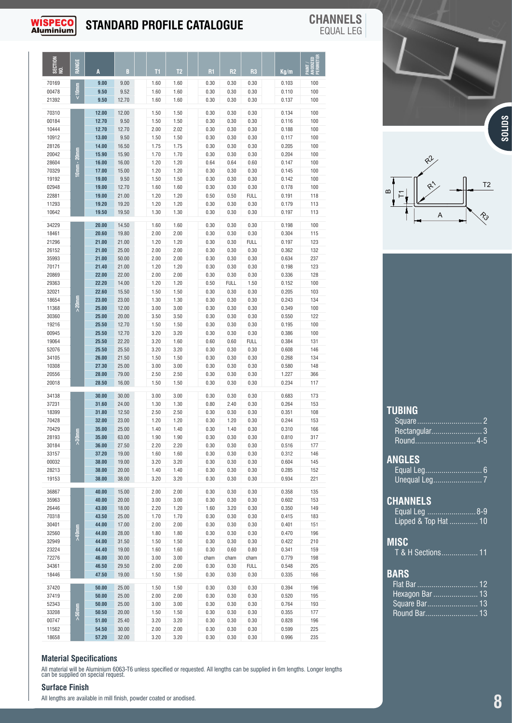

## **STANDARD PROFILE CATALOGUE CHANNELS**

| <b>ISPECO</b>                                                                                                                                                                             |             |                                                                                                                                                                                           |                                                                                                                                                                                           |                                                                                                                                                                      |                                                                                                                                                                      | <b>STANDARD PROFILE CATALOGUE</b>                                                                                                                                    |                                                                                                                                                                             |                                                                                                                                                                                    |                                                                                                                                                                                           | <b>CHANNELS</b><br><b>EQUAL LEG</b>                                                                                                             |                            |                                                                               |   |                     |               |
|-------------------------------------------------------------------------------------------------------------------------------------------------------------------------------------------|-------------|-------------------------------------------------------------------------------------------------------------------------------------------------------------------------------------------|-------------------------------------------------------------------------------------------------------------------------------------------------------------------------------------------|----------------------------------------------------------------------------------------------------------------------------------------------------------------------|----------------------------------------------------------------------------------------------------------------------------------------------------------------------|----------------------------------------------------------------------------------------------------------------------------------------------------------------------|-----------------------------------------------------------------------------------------------------------------------------------------------------------------------------|------------------------------------------------------------------------------------------------------------------------------------------------------------------------------------|-------------------------------------------------------------------------------------------------------------------------------------------------------------------------------------------|-------------------------------------------------------------------------------------------------------------------------------------------------|----------------------------|-------------------------------------------------------------------------------|---|---------------------|---------------|
| SECTION<br>NO.                                                                                                                                                                            |             |                                                                                                                                                                                           |                                                                                                                                                                                           |                                                                                                                                                                      |                                                                                                                                                                      |                                                                                                                                                                      |                                                                                                                                                                             |                                                                                                                                                                                    |                                                                                                                                                                                           | nia<br>Mele                                                                                                                                     |                            |                                                                               |   |                     |               |
| 70169<br>00478                                                                                                                                                                            | $rac{5}{x}$ | 9.00<br>9.50                                                                                                                                                                              | 9.00<br>9.52                                                                                                                                                                              | T1<br>1.60<br>1.60                                                                                                                                                   | T2<br>1.60<br>1.60                                                                                                                                                   | <b>R1</b><br>0.30<br>0.30                                                                                                                                            | R2<br>0.30<br>0.30                                                                                                                                                          | R3<br>0.30<br>0.30                                                                                                                                                                 | Kg/m<br>0.103<br>0.110                                                                                                                                                                    | 줄 모두<br>100<br>100                                                                                                                              |                            |                                                                               |   |                     |               |
| 21392<br>70310<br>00184<br>10444<br>10912<br>28126<br>20042<br>28604<br>70329<br>19192<br>02948<br>22881<br>11293                                                                         |             | 9.50<br>12.00<br>12.70<br>12.70<br>13.00<br>14.00<br>15.90<br>16.00<br>17.00<br>19.00<br>19.00<br>19.00<br>19.20                                                                          | 12.70<br>12.00<br>9.50<br>12.70<br>9.50<br>16.50<br>15.90<br>16.00<br>15.00<br>9.50<br>12.70<br>21.00<br>19.20                                                                            | 1.60<br>1.50<br>1.50<br>2.00<br>1.50<br>1.75<br>1.70<br>1.20<br>1.20<br>1.50<br>1.60<br>1.20<br>1.20                                                                 | 1.60<br>1.50<br>1.50<br>2.02<br>1.50<br>1.75<br>1.70<br>1.20<br>1.20<br>1.50<br>1.60<br>1.20<br>1.20                                                                 | 0.30<br>0.30<br>0.30<br>0.30<br>0.30<br>0.30<br>0.30<br>0.64<br>0.30<br>0.30<br>0.30<br>0.50<br>0.30                                                                 | 0.30<br>0.30<br>0.30<br>0.30<br>0.30<br>0.30<br>0.30<br>0.64<br>0.30<br>0.30<br>0.30<br>0.50<br>0.30                                                                        | 0.30<br>0.30<br>0.30<br>0.30<br>0.30<br>0.30<br>0.30<br>0.60<br>0.30<br>0.30<br>0.30<br><b>FULL</b><br>0.30                                                                        | 0.137<br>0.134<br>0.116<br>0.188<br>0.117<br>0.205<br>0.204<br>0.147<br>0.145<br>0.142<br>0.178<br>0.191<br>0.179                                                                         | 100<br>100<br>100<br>100<br>100<br>100<br>100<br>100<br>100<br>100<br>100<br>118<br>113                                                         | $\bf{m}$                   | $Q_{\nu}^{2}$<br>$\hat{\mathcal{R}}$<br>$\overleftarrow{\text{L}}$            |   | T2                  | <b>SOLIDS</b> |
| 10642<br>34229<br>18461<br>21296<br>26152<br>35993<br>70171<br>20869<br>29363<br>32021<br>18654<br>11368<br>30360<br>19216<br>00945<br>19064<br>52076<br>34105<br>10308<br>20556<br>20018 |             | 19.50<br>20.00<br>20.60<br>21.00<br>21.00<br>21.00<br>21.40<br>22.00<br>22.20<br>22.60<br>23.00<br>25.00<br>25.00<br>25.50<br>25.50<br>25.50<br>25.50<br>26.00<br>27.30<br>28.00<br>28.50 | 19.50<br>14.50<br>19.80<br>21.00<br>25.00<br>50.00<br>21.00<br>22.00<br>14.00<br>15.50<br>23.00<br>12.00<br>20.00<br>12.70<br>12.70<br>22.20<br>25.50<br>21.50<br>25.00<br>79.00<br>16.00 | 1.30<br>1.60<br>2.00<br>1.20<br>2.00<br>2.00<br>1.20<br>2.00<br>1.20<br>1.50<br>1.30<br>3.00<br>3.50<br>1.50<br>3.20<br>3.20<br>3.20<br>1.50<br>3.00<br>2.50<br>1.50 | 1.30<br>1.60<br>2.00<br>1.20<br>2.00<br>2.00<br>1.20<br>2.00<br>1.20<br>1.50<br>1.30<br>3.00<br>3.50<br>1.50<br>3.20<br>1.60<br>3.20<br>1.50<br>3.00<br>2.50<br>1.50 | 0.30<br>0.30<br>0.30<br>0.30<br>0.30<br>0.30<br>0.30<br>0.30<br>0.50<br>0.30<br>0.30<br>0.30<br>0.30<br>0.30<br>0.30<br>0.60<br>0.30<br>0.30<br>0.30<br>0.30<br>0.30 | 0.30<br>0.30<br>0.30<br>0.30<br>0.30<br>0.30<br>0.30<br>0.30<br><b>FULL</b><br>0.30<br>0.30<br>0.30<br>0.30<br>0.30<br>0.30<br>0.60<br>0.30<br>0.30<br>0.30<br>0.30<br>0.30 | 0.30<br>0.30<br>0.30<br><b>FULL</b><br>0.30<br>0.30<br>0.30<br>0.30<br>1.50<br>0.30<br>0.30<br>0.30<br>0.30<br>0.30<br>0.30<br><b>FULL</b><br>0.30<br>0.30<br>0.30<br>0.30<br>0.30 | 0.197<br>0.198<br>0.304<br>0.197<br>0.362<br>0.634<br>0.198<br>0.336<br>0.152<br>0.205<br>0.243<br>0.349<br>0.550<br>0.195<br>0.386<br>0.384<br>0.608<br>0.268<br>0.580<br>1.227<br>0.234 | 113<br>100<br>115<br>123<br>132<br>237<br>123<br>128<br>100<br>103<br>134<br>100<br>122<br>100<br>100<br>131<br>146<br>134<br>148<br>366<br>117 |                            |                                                                               | A | $\hat{\mathcal{C}}$ |               |
| 34138<br>37231<br>18399<br>70428<br>70429<br>28193<br>30184<br>33157<br>00032<br>28213<br>19153                                                                                           |             | 30.00<br>31.60<br>31.80<br>32.00<br>35.00<br>35.00<br>36.00<br>37.20<br>38.00<br>38.00<br>38.00                                                                                           | 30.00<br>24.00<br>12.50<br>23.00<br>25.00<br>63.00<br>27.50<br>19.00<br>19.00<br>20.00<br>38.00                                                                                           | 3.00<br>1.30<br>2.50<br>1.20<br>1.40<br>1.90<br>2.20<br>1.60<br>3.20<br>1.40<br>3.20                                                                                 | 3.00<br>1.30<br>2.50<br>1.20<br>1.40<br>1.90<br>2.20<br>1.60<br>3.20<br>1.40<br>3.20                                                                                 | 0.30<br>0.80<br>0.30<br>0.30<br>0.30<br>0.30<br>0.30<br>0.30<br>0.30<br>0.30<br>0.30                                                                                 | 0.30<br>2.40<br>0.30<br>1.20<br>1.40<br>0.30<br>0.30<br>0.30<br>0.30<br>0.30<br>0.30                                                                                        | 0.30<br>0.30<br>0.30<br>0.30<br>0.30<br>0.30<br>0.30<br>0.30<br>0.30<br>0.30<br>0.30                                                                                               | 0.683<br>0.264<br>0.351<br>0.244<br>0.310<br>0.810<br>0.516<br>0.312<br>0.604<br>0.285<br>0.934                                                                                           | 173<br>153<br>108<br>153<br>166<br>317<br>177<br>146<br>145<br>152<br>221                                                                       |                            | <b>TUBING</b><br>Rectangular3<br>Round4-5<br><b>ANGLES</b>                    |   |                     |               |
| 36867<br>35963<br>26446<br>70318<br>30401<br>32560<br>32949<br>23224<br>72276<br>34361<br>18446                                                                                           |             | 40.00<br>40.00<br>43.00<br>43.50<br>44.00<br>44.00<br>44.00 31.50<br>44.40<br>46.00<br>46.50<br>47.50 19.00                                                                               | 15.00<br>20.00<br>18.00<br>25.00<br>17.00<br>28.00<br>19.00<br>30.00<br>29.50                                                                                                             | 2.00<br>3.00<br>2.20<br>1.70<br>2.00<br>1.80<br>1.50<br>1.60<br>3.00<br>2.00<br>1.50                                                                                 | 2.00<br>3.00<br>1.20<br>1.70<br>2.00<br>1.80<br>1.50<br>1.60<br>3.00<br>2.00<br>1.50                                                                                 | 0.30<br>0.30<br>1.60<br>0.30<br>0.30<br>0.30<br>0.30<br>0.30<br>cham<br>0.30<br>0.30                                                                                 | 0.30<br>0.30<br>3.20<br>0.30<br>0.30<br>0.30<br>0.30<br>0.60<br>cham<br>0.30<br>0.30                                                                                        | 0.30<br>0.30<br>0.30<br>0.30<br>0.30<br>0.30<br>0.30<br>0.80<br>cham<br><b>FULL</b><br>0.30                                                                                        | 0.358<br>0.602<br>0.350<br>0.415<br>0.401<br>0.470<br>0.422<br>0.341<br>0.779<br>0.548<br>0.335                                                                                           | 135<br>153<br>149<br>183<br>151<br>196<br>210<br>159<br>198<br>205<br>166                                                                       | <b>MISC</b><br><b>BARS</b> | <b>CHANNELS</b><br>Equal Leg 8-9<br>Lipped & Top Hat  10<br>T & H Sections 11 |   |                     |               |
| 37420<br>37419<br>52343<br>33208<br>00747<br>11562<br>18658                                                                                                                               |             | 50.00 25.00<br>50.00 25.00<br>50.00<br>50.50<br>51.00<br>54.50                                                                                                                            | 25.00<br>20.00<br>25.40<br>30.00<br>57.20 32.00                                                                                                                                           | 1.50<br>2.00<br>3.00<br>1.50<br>3.20<br>2.00<br>3.20                                                                                                                 | 1.50<br>2.00<br>3.00<br>1.50<br>3.20<br>2.00<br>3.20                                                                                                                 | 0.30<br>0.30<br>0.30<br>0.30<br>0.30<br>0.30<br>0.30                                                                                                                 | 0.30<br>0.30<br>0.30<br>0.30<br>0.30<br>0.30<br>0.30                                                                                                                        | 0.30<br>0.30<br>0.30<br>0.30<br>0.30<br>0.30<br>0.30                                                                                                                               | 0.394<br>0.520<br>0.764<br>0.355<br>0.828<br>0.599<br>0.996                                                                                                                               | 196<br>195<br>193<br>177<br>196<br>225<br>235                                                                                                   |                            | Hexagon Bar  13<br>Round Bar 13                                               |   |                     |               |

#### **Material Specifications**

All material will be Aluminium 6063-T6 unless specified or requested. All lengths can be supplied in 6m lengths. Longer lengths can be supplied on special request.

#### **Surface Finish**

All lengths are available in mill finish, powder coated or anodised.

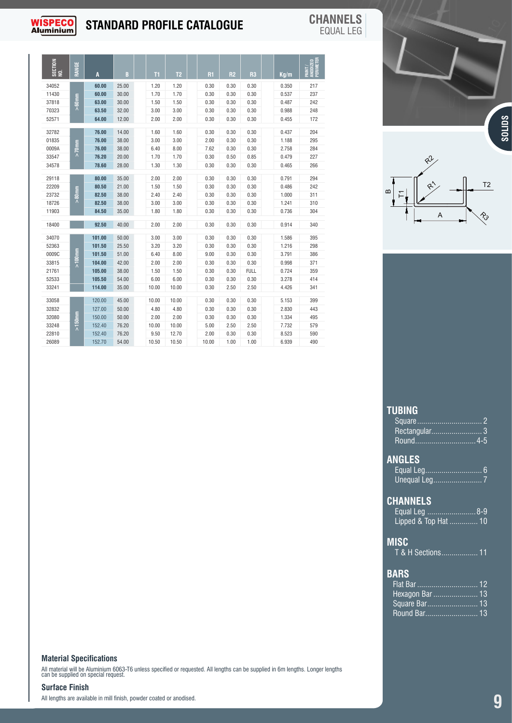

## **STANDARD PROFILE CATALOGUE CHANNELS**

EQUAL LEG

| SECTION<br>NO. | RANGE |                |                |              |              |              |              |              |                | PAINT /<br>ANODIZED<br>PERIMETER |
|----------------|-------|----------------|----------------|--------------|--------------|--------------|--------------|--------------|----------------|----------------------------------|
|                |       |                |                | T1           | T2           | R1           | R2           | R3           | Kg/m           |                                  |
| 34052<br>11430 |       | 60.00<br>60.00 | 25.00<br>30.00 | 1.20<br>1.70 | 1.20<br>1.70 | 0.30<br>0.30 | 0.30         | 0.30         | 0.350<br>0.537 | 217                              |
| 37818          |       | 63.00          | 30.00          | 1.50         | 1.50         | 0.30         | 0.30<br>0.30 | 0.30<br>0.30 | 0.487          | $237\,$<br>242                   |
| 70323          |       | 63.50          | 32.00          | 3.00         | 3.00         | 0.30         | 0.30         | 0.30         | 0.988          | 248                              |
| 52571          |       | 64.00          | 12.00          | 2.00         | 2.00         | 0.30         | 0.30         | 0.30         | 0.455          | 172                              |
|                |       |                |                |              |              |              |              |              |                |                                  |
| 32782          |       | 76.00          | 14.00          | 1.60         | 1.60         | 0.30         | 0.30         | 0.30         | 0.437          | 204                              |
| 01835          |       | 76.00          | 38.00          | 3.00         | 3.00         | 2.00         | 0.30         | 0.30         | 1.188          | 295                              |
| 0009A          |       | 76.00          | 38.00          | 6.40         | 8.00         | 7.62         | 0.30         | 0.30         | 2.758          | 284                              |
| 33547          |       | 76.20          | 20.00          | 1.70         | 1.70         | 0.30         | 0.50         | 0.85         | 0.479          | 227                              |
| 34578          |       | 78.60          | 28.00          | 1.30         | 1.30         | 0.30         | 0.30         | 0.30         | 0.465          | 266                              |
| 29118          |       | 80.00          | 35.00          | 2.00         | 2.00         | 0.30         | 0.30         | 0.30         | 0.791          | 294                              |
| 22209          |       | 80.50          | 21.00          | 1.50         | 1.50         | 0.30         | 0.30         | 0.30         | 0.486          | 242                              |
| 23732          |       | 82.50          | 38.00          | 2.40         | 2.40         | 0.30         | 0.30         | 0.30         | 1.000          | 311                              |
| 18726          |       | 82.50          | 38.00          | 3.00         | 3.00         | 0.30         | 0.30         | 0.30         | 1.241          | 310                              |
| 11903          |       | 84.50          | 35.00          | 1.80         | 1.80         | 0.30         | 0.30         | 0.30         | 0.736          | 304                              |
| 18400          |       |                | 92.50 40.00    | 2.00         | 2.00         | 0.30         | 0.30         | 0.30         | 0.914          | 340                              |
|                |       |                |                |              |              |              |              |              |                |                                  |
| 34070          |       | 101.00         | 50.00          | 3.00         | 3.00         | 0.30         | 0.30         | 0.30         | 1.586          | 395                              |
| 52363          |       | 101.50         | 25.50          | 3.20         | 3.20         | 0.30         | 0.30         | 0.30         | 1.216          | 298                              |
| 0009C          |       | 101.50         | 51.00          | 6.40         | 8.00         | 9.00         | 0.30         | 0.30         | 3.791          | 386                              |
| 33815          |       | 104.00         | 42.00          | 2.00         | 2.00         | 0.30         | 0.30         | 0.30         | 0.998          | 371                              |
| 21761          |       | 105.00         | 38.00          | 1.50         | 1.50         | 0.30         | 0.30         | <b>FULL</b>  | 0.724          | 359                              |
| 52533          |       | 105.50         | 54.00          | 6.00         | 6.00         | 0.30         | 0.30         | 0.30         | 3.278          | 414                              |
| 33241          |       | 114.00         | 35.00          | 10.00        | 10.00        | 0.30         | 2.50         | 2.50         | 4.426          | 341                              |
| 33058          |       | 120.00         | 45.00          | 10.00        | 10.00        | 0.30         | 0.30         | 0.30         | 5.153          | 399                              |
| 32832          |       | 127.00         | 50.00          | 4.80         | 4.80         | 0.30         | 0.30         | 0.30         | 2.830          | 443                              |
| 32080          |       | 150.00         | 50.00          | 2.00         | 2.00         | 0.30         | 0.30         | 0.30         | 1.334          | 495                              |
| 33248          |       | 152.40         | 76.20          | 10.00        | 10.00        | 5.00         | 2.50         | 2.50         | 7.732          | 579                              |
| 22810          |       | 152.40         | 76.20          | 9.50         | 12.70        | 2.00         | 0.30         | 0.30         | 8.523          | 590                              |
| 26089          |       | 152.70 54.00   |                | 10.50        | 10.50        | 10.00        | 1.00         | 1.00         | 6.939          | 490                              |



#### **TUBING**

| Rectangular 3         |  |
|-----------------------|--|
| Round <del></del> 4-5 |  |
|                       |  |
| <b>ANGLES</b>         |  |
| Equal Leg 6           |  |
|                       |  |
|                       |  |
|                       |  |
| <b>CHANNELS</b>       |  |
| Equal Leg 8-9         |  |
| Lipped & Top Hat  10  |  |
|                       |  |
|                       |  |
| <b>MISC</b>           |  |
| T & H Sections 11     |  |
|                       |  |
| <b>BARS</b>           |  |
|                       |  |
|                       |  |
| Hexagon Bar  13       |  |
| Square Bar 13         |  |
| Round Bar 13          |  |

#### **Material Specifications**

All material will be Aluminium 6063-T6 unless specified or requested. All lengths can be supplied in 6m lengths. Longer lengths can be supplied on special request.

#### **Surface Finish**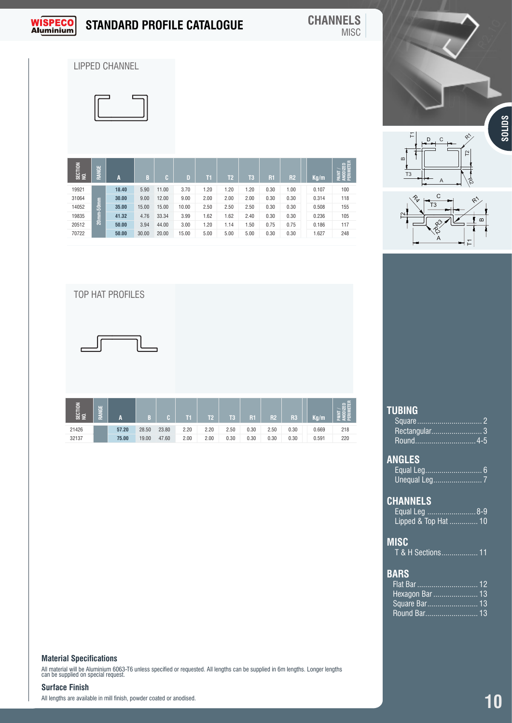

## **STANDARD PROFILE CATALOGUE CHANNELS**

## MISC

LIPPED CHANNEL



| SECTION<br>NO. | RANGE     | A                       | B     | C.    | $\mathbf{D}$ | T1   | T <sub>2</sub> | T <sub>3</sub> | R1   | <b>R2</b> | Kg/m  | PAINT/<br>Anodized<br>Perimeter |
|----------------|-----------|-------------------------|-------|-------|--------------|------|----------------|----------------|------|-----------|-------|---------------------------------|
| 19921          |           | 18.40                   | 5.90  | 11.00 | 3.70         | 1.20 | 1.20           | 1.20           | 0.30 | 1.00      | 0.107 | 100                             |
| 31064          |           | 30.00                   | 9.00  | 12.00 | 9.00         | 2.00 | 2.00           | 2.00           | 0.30 | 0.30      | 0.314 | 118                             |
| 14052          | 20mm-50mm | 35.00                   | 15.00 | 15.00 | 10.00        | 2.50 | 2.50           | 2.50           | 0.30 | 0.30      | 0.508 | 155                             |
| 19835          |           | 41.32                   | 4.76  | 33.34 | 3.99         | 1.62 | 1.62           | 2.40           | 0.30 | 0.30      | 0.236 | 105                             |
| 20512          |           | 50.00                   | 3.94  | 44.00 | 3.00         | 1.20 | 1.14           | 1.50           | 0.75 | 0.75      | 0.186 | 117                             |
| 70722          |           | 50.00                   | 30.00 | 20.00 | 15.00        | 5.00 | 5.00           | 5.00           | 0.30 | 0.30      | 1.627 | 248                             |
|                |           |                         |       |       |              |      |                |                |      |           |       |                                 |
|                |           | <b>TOP HAT PROFILES</b> |       |       |              |      |                |                |      |           |       |                                 |







#### **TUBING**

| 62   12    14    14    14    14    14    14    14    14    14    14    14    14    14    14    14 |                        |  |      |  |  |                                                                |  |
|---------------------------------------------------------------------------------------------------|------------------------|--|------|--|--|----------------------------------------------------------------|--|
|                                                                                                   | 57.20 28.50 23.80 2.20 |  | 2.20 |  |  | 2.50 0.30 2.50 0.30 0.669 218                                  |  |
| 21426<br>32137                                                                                    |                        |  |      |  |  | 75.00 19.00 47.60 2.00 2.00 0.30 0.30 0.30 0.30 0.30 0.591 220 |  |
|                                                                                                   |                        |  |      |  |  |                                                                |  |
|                                                                                                   |                        |  |      |  |  |                                                                |  |
|                                                                                                   |                        |  |      |  |  |                                                                |  |
|                                                                                                   |                        |  |      |  |  |                                                                |  |
|                                                                                                   |                        |  |      |  |  |                                                                |  |

#### **Material Specifications**

All material will be Aluminium 6063-T6 unless specified or requested. All lengths can be supplied in 6m lengths. Longer lengths can be supplied on special request.

#### **Surface Finish**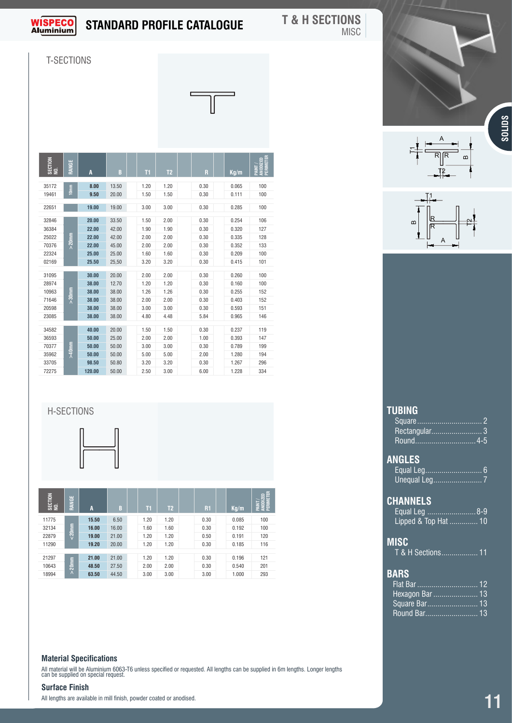

#### **T & H SECTIONS MISC**

T-SECTIONS

|                                                                                                                              | <b>SOLIDS</b><br>A<br>$\rightarrow$<br>$\overline{\overline{\mathsf{R}}\mathsf{IR}}$<br>$\omega$                                                     |  |
|------------------------------------------------------------------------------------------------------------------------------|------------------------------------------------------------------------------------------------------------------------------------------------------|--|
| $\sqrt{11}$ $\sqrt{12}$                                                                                                      | $-12$                                                                                                                                                |  |
| 35172<br>8.00<br>13.50<br>1.20<br>1.20<br>0.30<br>$rac{1}{2}$<br>1.50<br>9.50<br>$\overline{20.00}$<br>19461<br>1.50<br>0.30 | 100<br>0.065<br>100<br>0.111<br>$\frac{1}{\sqrt{1}}$                                                                                                 |  |
| 19.00 19.00<br>3.00<br>3.00<br>0.30<br>22651                                                                                 | 0.285<br>100                                                                                                                                         |  |
| 1.50<br>2.00<br>32846<br>20.00<br>33.50<br>0.30<br>22.00<br>42.00<br>1.90<br>1.90<br>36384<br>0.30                           | 0.254<br>106<br>$\omega$<br>127<br>0.320                                                                                                             |  |
| 2.00<br>25022<br>22.00<br>42.00<br>2.00<br>0.30                                                                              | 128<br>0.335<br>$\mathsf{A}$                                                                                                                         |  |
| 2.00<br>70376<br>22.00<br>45.00<br>2.00<br>0.30<br>22324<br>25.00<br>1.60<br>1.60<br>0.30<br>25.00                           | 0.352<br>133<br>100<br>0.209                                                                                                                         |  |
| 3.20<br>25.50 25,50<br>3.20<br>0.30<br>02169                                                                                 | 0.415<br>101                                                                                                                                         |  |
| 31095<br>30.00 20.00<br>2.00<br>2.00<br>0.30<br>12.70<br>1.20<br>1.20<br>28974<br>38.00<br>0.30                              | 0.260<br>100<br>0.160<br>100                                                                                                                         |  |
| 1.26<br>1.26<br>10963<br>38.00<br>0.30<br>38.00<br>71646<br>38.00<br>38.00<br>2.00<br>2.00<br>0.30                           | 0.255<br>152<br>0.403<br>152                                                                                                                         |  |
| 3.00<br>0.30<br>38.00<br>38.00<br>3.00<br>20598                                                                              | 0.593<br>151                                                                                                                                         |  |
| 23085<br>38.00 38.00<br>4.80<br>5.84<br>4.48<br>1.50<br>1.50<br>34582<br>40.00<br>20.00<br>0.30                              | 146<br>0.965<br>0.237<br>119                                                                                                                         |  |
| 2.00<br>36593<br>50.00 25.00<br>2.00<br>1.00                                                                                 | 147<br>0.393                                                                                                                                         |  |
| 50.00<br>3.00<br>70377<br>50.00<br>3.00<br>0.30<br>5.00<br>35962<br>50.00<br>5.00<br>2.00<br>50.00                           | 199<br>0.789<br>1.280<br>194                                                                                                                         |  |
| 3.20<br>33705<br>98.50<br>50.80<br>3.20<br>0.30<br>2.50<br>120.00 50.00<br>3.00<br>6.00<br>72275                             | 1.267<br>296<br>1.228<br>334                                                                                                                         |  |
|                                                                                                                              |                                                                                                                                                      |  |
|                                                                                                                              |                                                                                                                                                      |  |
| H-SECTIONS                                                                                                                   | <b>TUBING</b>                                                                                                                                        |  |
|                                                                                                                              | Square                                                                                                                                               |  |
|                                                                                                                              | Rectangular<br>$4-5$<br>Round                                                                                                                        |  |
|                                                                                                                              |                                                                                                                                                      |  |
|                                                                                                                              | <b>ANGLES</b>                                                                                                                                        |  |
|                                                                                                                              | Unequal Leg                                                                                                                                          |  |
| $rac{5}{10}$<br>∥ ≝                                                                                                          | $\frac{1}{2}$<br>$\frac{1}{2}$<br>$\frac{1}{2}$<br>$\frac{1}{2}$<br>$\frac{1}{2}$<br>$\frac{1}{2}$<br><b>CHANNELS</b>                                |  |
| $\begin{array}{ c c c c c }\hline \texttt{I1} & \texttt{I2} \end{array}$<br>$\overline{A}$<br> R1 <br>$\blacksquare$         | $\begin{array}{ c c c }\hline \texttt{Kg/m} & \frac{\overline{z}}{\overline{z}}\frac{\overline{z}}{\overline{z}}\hline \end{array}$<br>Equal Leg 8-9 |  |
| 15.50<br>$1.20$ $1.20$<br>0.30<br>11775<br>6.50<br>$1.60$ $1.60$<br>16.00<br>$16.00$<br>32134<br>0.30                        | 100<br>0.085<br>Lipped & Top Hat  10<br>$100$<br>0.192                                                                                               |  |
| 19.00 21.00<br>$1.20$ $1.20$<br>22879<br>0.50                                                                                | 120<br>0.191<br><b>MISC</b>                                                                                                                          |  |
| $1.20$ $1.20$<br>11290<br>19.20 20.00<br>0.30<br>21297<br>21.00 21.00<br>$1.20$ $1.20$<br>0.30                               | 0.185<br>116<br>T & H Sections 11<br>$121$<br>0.196                                                                                                  |  |
| 2.00 2.00<br>10643<br>48.50 27.50<br>0.30                                                                                    | 201<br>0.540                                                                                                                                         |  |
| $\lambda$<br>63.50 44.50<br>3.00 3.00<br>18994<br>3.00                                                                       | <b>BARS</b><br>1.000<br>293                                                                                                                          |  |
|                                                                                                                              | Hexagon Bar  13                                                                                                                                      |  |
|                                                                                                                              | Square Bar 13                                                                                                                                        |  |
|                                                                                                                              | Round Bar<br>.13                                                                                                                                     |  |

#### H-SECTIONS



| SECTION<br>NO. | RANGE     | A     | B     | Т1   | T <sub>2</sub> | R1   | Kq/m  | Ë<br>區<br><b>PAIN</b><br>ANDI<br>PERII |
|----------------|-----------|-------|-------|------|----------------|------|-------|----------------------------------------|
| 11775          |           | 15.50 | 6.50  | 1.20 | 1.20           | 0.30 | 0.085 | 100                                    |
| 32134          | $& 20$ mm | 16.00 | 16.00 | 1.60 | 1.60           | 0.30 | 0.192 | 100                                    |
| 22879          |           | 19.00 | 21.00 | 1.20 | 1.20           | 0.50 | 0.191 | 120                                    |
| 11290          |           | 19.20 | 20.00 | 1.20 | 1.20           | 0.30 | 0.185 | 116                                    |
|                |           |       |       |      |                |      |       |                                        |
| 21297          |           | 21.00 | 21.00 | 1.20 | 1.20           | 0.30 | 0.196 | 121                                    |
| 10643          | $20$ mm   | 48.50 | 27.50 | 2.00 | 2.00           | 0.30 | 0.540 | 201                                    |
| 18994          | $\Lambda$ | 63.50 | 44.50 | 3.00 | 3.00           | 3.00 | 1.000 | 293                                    |

#### **Material Specifications**

All material will be Aluminium 6063-T6 unless specified or requested. All lengths can be supplied in 6m lengths. Longer lengths can be supplied on special request.

#### **Surface Finish**

All lengths are available in mill finish, powder coated or anodised.





| Rectangular 3                                                   |  |  |
|-----------------------------------------------------------------|--|--|
| <b>ANGLES</b>                                                   |  |  |
| <b>CHANNELS</b><br>Equal Leg 8-9<br>Lipped & Top Hat  10        |  |  |
| MISC<br>T & H Sections 11                                       |  |  |
| <b>BARS</b><br>Hexagon Bar  13<br>Square Bar 13<br>Round Bar 13 |  |  |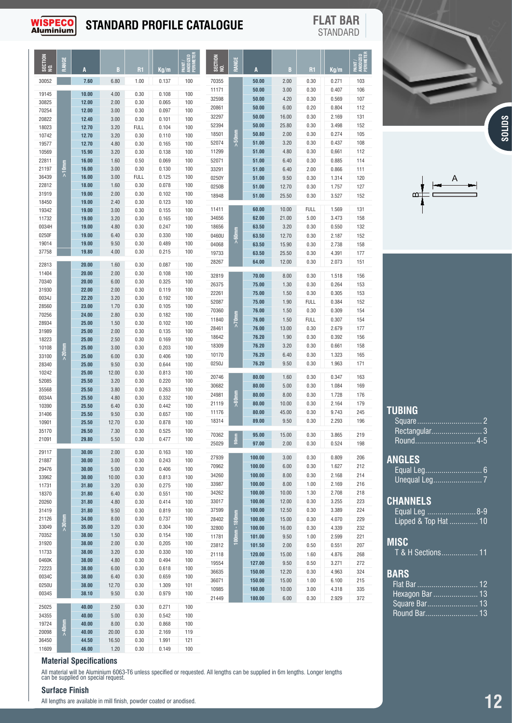

## **STANDARD PROFILE CATALOGUE FLAT BAR**

STANDARD

T1

| 30052<br>7.60<br>6.80<br>1.00<br>0.137<br>100<br>70355<br>50.00<br>2.00<br>0.30<br>0.271<br>103<br>3.00<br>0.30<br>0.407<br>106<br>11171<br>50.00<br>19145<br>4.00<br>0.30<br>100<br>10.00<br>0.108<br>32598<br>50.00<br>4.20<br>0.30<br>107<br>0.569<br>12.00<br>2.00<br>30825<br>0.30<br>0.065<br>100<br>20861<br>50.00<br>6.00<br>0.20<br>0.804<br>112<br>70254<br>12.00<br>3.00<br>0.097<br>100<br>0.30<br>131<br>32297<br>50.00<br>16.00<br>0.30<br>2.169<br>20822<br>0.101<br>100<br>12.40<br>3.00<br>0.30<br>152<br>52394<br>50.00<br>25.80<br>0.30<br>3.498<br>18023<br>12.70<br>3.20<br>100<br><b>FULL</b><br>0.104<br>$> 50$ mm<br>18501<br>105<br>50.80<br>2.00<br>0.30<br>0.274<br>100<br>10742<br>12.70<br>3.20<br>0.30<br>0.110<br>52074<br>51.00<br>3.20<br>0.30<br>108<br>0.437<br>12.70<br>4.80<br>100<br>19577<br>0.30<br>0.165<br>11299<br>51.00<br>4.80<br>0.30<br>112<br>15.90<br>100<br>0,661<br>10569<br>3.20<br>0.30<br>0.138<br>22811<br>16.00<br>1.60<br>0.069<br>100<br>52071<br>51.00<br>6.40<br>0.30<br>114<br>0.50<br>0.885<br>$>10$ nm<br>3.00<br>21197<br>16.00<br>0.30<br>0.130<br>100<br>111<br>33291<br>51.00<br>6.40<br>2.00<br>0.866<br>36439<br>16.00<br>3.00<br><b>FULL</b><br>0.125<br>100<br>0250Y<br>120<br>51.00<br>9.50<br>0.30<br>1.314<br>22812<br>18.00<br>0.078<br>100<br>1.60<br>0.30<br>0250B<br>127<br>51.00<br>12.70<br>0.30<br>1.757<br>19.00<br>2.00<br>100<br>31919<br>0.30<br>0.102<br>18948<br>51.00<br>152<br>25.50<br>0.30<br>3.527<br>18450<br>19.00<br>2.40<br>0.123<br>100<br>0.30<br>131<br>11411<br>60.00<br>10.00<br><b>FULL</b><br>1.569<br>19342<br>19.00<br>3.00<br>0.30<br>0.155<br>100<br>158<br>11732<br>34656<br>62.00<br>21.00<br>5.00<br>3.473<br>19.00<br>3.20<br>0.30<br>0.165<br>100<br>100<br>18656<br>132<br>0034H<br>19.00<br>4.80<br>0.30<br>0.247<br>63.50<br>3.20<br>0.30<br>0.550<br>60mm<br>0250F<br>19.00<br>100<br>6.40<br>0.30<br>0.330<br>63.50<br>12.70<br>152<br>0460U<br>0.30<br>2.187<br>Λ<br>19014<br>9.50<br>19.00<br>0.30<br>0.489<br>100<br>04068<br>63.50<br>15.90<br>0.30<br>158<br>2.738<br>0.215<br>100<br>37758<br>19.80<br>4.00<br>0.30<br>19733<br>63.50<br>25.50<br>0.30<br>4.391<br>177<br>64.00<br>151<br>28267<br>12.00<br>0.30<br>2.073<br>0.30<br>0.087<br>100<br>22813<br>20.00<br>1.60<br>20.00<br>2.00<br>0.108<br>100<br>11404<br>0.30<br>70.00<br>8.00<br>0.30<br>156<br>32819<br>1.518<br>70340<br>20.00<br>6.00<br>100<br>0.30<br>0.325<br>26375<br>75.00<br>1.30<br>0.30<br>0.264<br>153<br>2.00<br>31930<br>22.00<br>0.30<br>0.119<br>100<br>22261<br>75.00<br>0.30<br>0.305<br>153<br>1.50<br>0034J<br>22.20<br>100<br>3.20<br>0.30<br>0.192<br>152<br>52087<br>75.00<br>1.90<br>FULL<br>0.384<br>28560<br>23.00<br>100<br>1.70<br>0.30<br>0.105<br>70360<br>76.00<br>1.50<br>0.30<br>0.309<br>154<br>$> 70$ nm<br>70256<br>24.00<br>2.80<br>0.30<br>0.182<br>100<br>11840<br>76.00<br>1.50<br><b>FULL</b><br>0.307<br>154<br>28934<br>25.00<br>1.50<br>0.30<br>0.102<br>100<br>76.00<br>13.00<br>0.30<br>28461<br>2.679<br>177<br>2.00<br>31989<br>25.00<br>0.30<br>0.135<br>100<br>18642<br>76.20<br>1.90<br>0.30<br>0.392<br>156<br>2.50<br>0.169<br>100<br>18223<br>25.00<br>0.30<br>$> 20$ mm<br>18309<br>76.20<br>3.20<br>0.30<br>0.661<br>158<br>25.00<br>3.00<br>0.203<br>100<br>10108<br>0.30<br>165<br>10170<br>76.20<br>6.40<br>0.30<br>1.323<br>25.00<br>6.00<br>0.406<br>100<br>33100<br>0.30<br>76.20<br>0.30<br>1.963<br>171<br>0250J<br>9.50<br>28340<br>9.50<br>25.00<br>0.30<br>0.644<br>100<br>10242<br>25.00<br>12.00<br>0.30<br>0.813<br>100<br>80.00<br>1.60<br>0.30<br>20746<br>0.347<br>163<br>52085<br>25.50<br>3.20<br>0.220<br>100<br>0.30<br>30682<br>80.00<br>5.00<br>0.30<br>169<br>1.084<br>35568<br>100<br>25.50<br>3.80<br>0.30<br>0.263<br>$> 80$ nm<br>24981<br>80.00<br>8.00<br>0.30<br>1.728<br>176<br>0034A<br>0.332<br>100<br>25.50<br>4.80<br>0.30<br>21119<br>80.00<br>10.00<br>0.30<br>2.164<br>179<br>10390<br>25.50<br>6.40<br>0.442<br>100<br>0.30<br>245<br>11176<br>80.00<br>45.00<br>0.30<br>9.743<br>31406<br>100<br>25.50<br>9.50<br>0.30<br>0.657<br>18314<br>89.00<br>0.30<br>2.293<br>196<br>9.50<br>10901<br>12.70<br>100<br>25.50<br>0.30<br>0.878<br>35170<br>26.50<br>7.30<br>0.30<br>0.525<br>100<br>70362<br>95.00<br>15.00<br>0.30<br>219<br>3.865<br>90mm<br>29.80<br>21091<br>5.50<br>0.30<br>0.477<br>100<br>25029<br>97.00<br>2.00<br>0.30<br>0.524<br>198<br>29117<br>30.00<br>2.00<br>0.30<br>0.163<br>100<br>27939<br>100.00<br>3.00<br>0.30<br>0.809<br>206<br>21887<br>30.00<br>3.00<br>0.243<br>100<br>0.30<br>70962<br>100.00<br>6.00<br>212<br>0.30<br>1.627<br>29476<br>30.00<br>5.00<br>0.406<br>100<br>0.30<br>34260<br>100.00<br>8.00<br>214<br>0.30<br>2.168<br>33962<br>30.00<br>10.00<br>0.813<br>100<br>0.30<br>33987<br>100.00<br>8.00<br>216<br>1.00<br>2.169<br>11731<br>31.80<br>3.20<br>0.275<br>100<br>0.30<br>34262<br>100.00<br>10.00<br>218<br>1.30<br>2.708<br>18370<br>31.80<br>6.40<br>0.551<br>100<br>0.30<br>12.00<br>33017<br>100.00<br>0.30<br>3.255<br>223<br>20260<br>31.80<br>4.80<br>0.414<br>100<br>0.30<br>31419<br>31.80<br>9.50<br>0.819<br>100<br>37599<br>100.00<br>224<br>0.30<br>12.50<br>0.30<br>3.389<br>100mm - 180mm<br>$> 30$ mm<br>21126<br>34.00<br>8.00<br>100<br>0.30<br>0.737<br>100.00<br>15.00<br>4.070<br>229<br>28402<br>0.30<br>33049<br>35.00<br>3.20<br>0.304<br>100<br>0.30<br>32800<br>100.00<br>16.00<br>232<br>0.30<br>4.339<br>70352<br>38.00<br>0.154<br>100<br>1.50<br>0.30<br>11781<br>101.00<br>9.50<br>221<br>1.00<br>2.599<br>31920<br>38.00<br>2.00<br>0,205<br>100<br>0.30<br>23812<br>101.50<br>2.00<br>207<br>0.50<br>0.551<br>11733<br>38.00<br>3.20<br>0.330<br>100<br>0.30<br>21118<br>268<br>120.00<br>15.00<br>1.60<br>4.876<br>0460K<br>38.00<br>4.80<br>100<br>0.30<br>0.494<br>19554<br>272<br>127.00<br>9.50<br>0.50<br>3.271<br>72223<br>38.00<br>6.00<br>100<br>0.30<br>0.618<br>36635<br>324<br>150.00<br>12.20<br>0.30<br>4.963<br>0034C<br>38.00<br>6.40<br>0.659<br>100<br>0.30<br>150.00<br>15.00<br>215<br>36071<br>1.00<br>6.100<br>0250U<br>38.00<br>12.70<br>0.30<br>1.309<br>101<br>10985<br>160.00<br>10.00<br>335<br>3.00<br>4.318<br>0034S<br>38.10<br>9.50<br>0.979<br>0.30<br>100<br>180.00<br>2.929<br>372<br>21449<br>6.00<br>0.30<br>40.00<br>2.50<br>0.271<br>100<br>25025<br>0.30<br>34355<br>40.00<br>5.00<br>0.542<br>100<br>0.30<br>$>40$ mm<br>19724<br>40.00<br>8.00<br>100<br>0.30<br>0.868<br>20098<br>40.00<br>20.00<br>119<br>0.30<br>2.169<br>36450<br>44.50<br>16.50<br>1.991<br>121<br>0.30<br>11609<br>46.00<br>100<br>1.20<br>0.30<br>0.149 | SECTION<br>NO. | š<br>₹ | A | B | R <sub>1</sub> | Kq/m | É<br>田 | SECTION<br>MO. | RANGE | A | B | R1 | Kg/m | DIZED<br>Meter<br>ธี ∉ี |
|--------------------------------------------------------------------------------------------------------------------------------------------------------------------------------------------------------------------------------------------------------------------------------------------------------------------------------------------------------------------------------------------------------------------------------------------------------------------------------------------------------------------------------------------------------------------------------------------------------------------------------------------------------------------------------------------------------------------------------------------------------------------------------------------------------------------------------------------------------------------------------------------------------------------------------------------------------------------------------------------------------------------------------------------------------------------------------------------------------------------------------------------------------------------------------------------------------------------------------------------------------------------------------------------------------------------------------------------------------------------------------------------------------------------------------------------------------------------------------------------------------------------------------------------------------------------------------------------------------------------------------------------------------------------------------------------------------------------------------------------------------------------------------------------------------------------------------------------------------------------------------------------------------------------------------------------------------------------------------------------------------------------------------------------------------------------------------------------------------------------------------------------------------------------------------------------------------------------------------------------------------------------------------------------------------------------------------------------------------------------------------------------------------------------------------------------------------------------------------------------------------------------------------------------------------------------------------------------------------------------------------------------------------------------------------------------------------------------------------------------------------------------------------------------------------------------------------------------------------------------------------------------------------------------------------------------------------------------------------------------------------------------------------------------------------------------------------------------------------------------------------------------------------------------------------------------------------------------------------------------------------------------------------------------------------------------------------------------------------------------------------------------------------------------------------------------------------------------------------------------------------------------------------------------------------------------------------------------------------------------------------------------------------------------------------------------------------------------------------------------------------------------------------------------------------------------------------------------------------------------------------------------------------------------------------------------------------------------------------------------------------------------------------------------------------------------------------------------------------------------------------------------------------------------------------------------------------------------------------------------------------------------------------------------------------------------------------------------------------------------------------------------------------------------------------------------------------------------------------------------------------------------------------------------------------------------------------------------------------------------------------------------------------------------------------------------------------------------------------------------------------------------------------------------------------------------------------------------------------------------------------------------------------------------------------------------------------------------------------------------------------------------------------------------------------------------------------------------------------------------------------------------------------------------------------------------------------------------------------------------------------------------------------------------------------------------------------------------------------------------------------------------------------------------------------------------------------------------------------------------------------------------------------------------------------------------------------------------------------------------------------------------------------------------------------------------------------------------------------------------------------------------------------------------------------------------------------------------------------------------------------------------------------------------------------------------------------------------------------------------------------------------------------------------------------------------------------------------------------------------------------------------------------------------------------------------------------------------------------------------------------------------------------------------------------------------------------------------------------------------------------------------------------------------------------------------------------------------------------------------------------------------------------------------------------------------------------------------------------------------------------------------------------------|----------------|--------|---|---|----------------|------|--------|----------------|-------|---|---|----|------|-------------------------|
|                                                                                                                                                                                                                                                                                                                                                                                                                                                                                                                                                                                                                                                                                                                                                                                                                                                                                                                                                                                                                                                                                                                                                                                                                                                                                                                                                                                                                                                                                                                                                                                                                                                                                                                                                                                                                                                                                                                                                                                                                                                                                                                                                                                                                                                                                                                                                                                                                                                                                                                                                                                                                                                                                                                                                                                                                                                                                                                                                                                                                                                                                                                                                                                                                                                                                                                                                                                                                                                                                                                                                                                                                                                                                                                                                                                                                                                                                                                                                                                                                                                                                                                                                                                                                                                                                                                                                                                                                                                                                                                                                                                                                                                                                                                                                                                                                                                                                                                                                                                                                                                                                                                                                                                                                                                                                                                                                                                                                                                                                                                                                                                                                                                                                                                                                                                                                                                                                                                                                                                                                                                                                                                                                                                                                                                                                                                                                                                                                                                                                                                                                                                                                                                              |                |        |   |   |                |      |        |                |       |   |   |    |      |                         |
|                                                                                                                                                                                                                                                                                                                                                                                                                                                                                                                                                                                                                                                                                                                                                                                                                                                                                                                                                                                                                                                                                                                                                                                                                                                                                                                                                                                                                                                                                                                                                                                                                                                                                                                                                                                                                                                                                                                                                                                                                                                                                                                                                                                                                                                                                                                                                                                                                                                                                                                                                                                                                                                                                                                                                                                                                                                                                                                                                                                                                                                                                                                                                                                                                                                                                                                                                                                                                                                                                                                                                                                                                                                                                                                                                                                                                                                                                                                                                                                                                                                                                                                                                                                                                                                                                                                                                                                                                                                                                                                                                                                                                                                                                                                                                                                                                                                                                                                                                                                                                                                                                                                                                                                                                                                                                                                                                                                                                                                                                                                                                                                                                                                                                                                                                                                                                                                                                                                                                                                                                                                                                                                                                                                                                                                                                                                                                                                                                                                                                                                                                                                                                                                              |                |        |   |   |                |      |        |                |       |   |   |    |      |                         |
|                                                                                                                                                                                                                                                                                                                                                                                                                                                                                                                                                                                                                                                                                                                                                                                                                                                                                                                                                                                                                                                                                                                                                                                                                                                                                                                                                                                                                                                                                                                                                                                                                                                                                                                                                                                                                                                                                                                                                                                                                                                                                                                                                                                                                                                                                                                                                                                                                                                                                                                                                                                                                                                                                                                                                                                                                                                                                                                                                                                                                                                                                                                                                                                                                                                                                                                                                                                                                                                                                                                                                                                                                                                                                                                                                                                                                                                                                                                                                                                                                                                                                                                                                                                                                                                                                                                                                                                                                                                                                                                                                                                                                                                                                                                                                                                                                                                                                                                                                                                                                                                                                                                                                                                                                                                                                                                                                                                                                                                                                                                                                                                                                                                                                                                                                                                                                                                                                                                                                                                                                                                                                                                                                                                                                                                                                                                                                                                                                                                                                                                                                                                                                                                              |                |        |   |   |                |      |        |                |       |   |   |    |      |                         |
|                                                                                                                                                                                                                                                                                                                                                                                                                                                                                                                                                                                                                                                                                                                                                                                                                                                                                                                                                                                                                                                                                                                                                                                                                                                                                                                                                                                                                                                                                                                                                                                                                                                                                                                                                                                                                                                                                                                                                                                                                                                                                                                                                                                                                                                                                                                                                                                                                                                                                                                                                                                                                                                                                                                                                                                                                                                                                                                                                                                                                                                                                                                                                                                                                                                                                                                                                                                                                                                                                                                                                                                                                                                                                                                                                                                                                                                                                                                                                                                                                                                                                                                                                                                                                                                                                                                                                                                                                                                                                                                                                                                                                                                                                                                                                                                                                                                                                                                                                                                                                                                                                                                                                                                                                                                                                                                                                                                                                                                                                                                                                                                                                                                                                                                                                                                                                                                                                                                                                                                                                                                                                                                                                                                                                                                                                                                                                                                                                                                                                                                                                                                                                                                              |                |        |   |   |                |      |        |                |       |   |   |    |      |                         |
|                                                                                                                                                                                                                                                                                                                                                                                                                                                                                                                                                                                                                                                                                                                                                                                                                                                                                                                                                                                                                                                                                                                                                                                                                                                                                                                                                                                                                                                                                                                                                                                                                                                                                                                                                                                                                                                                                                                                                                                                                                                                                                                                                                                                                                                                                                                                                                                                                                                                                                                                                                                                                                                                                                                                                                                                                                                                                                                                                                                                                                                                                                                                                                                                                                                                                                                                                                                                                                                                                                                                                                                                                                                                                                                                                                                                                                                                                                                                                                                                                                                                                                                                                                                                                                                                                                                                                                                                                                                                                                                                                                                                                                                                                                                                                                                                                                                                                                                                                                                                                                                                                                                                                                                                                                                                                                                                                                                                                                                                                                                                                                                                                                                                                                                                                                                                                                                                                                                                                                                                                                                                                                                                                                                                                                                                                                                                                                                                                                                                                                                                                                                                                                                              |                |        |   |   |                |      |        |                |       |   |   |    |      |                         |
|                                                                                                                                                                                                                                                                                                                                                                                                                                                                                                                                                                                                                                                                                                                                                                                                                                                                                                                                                                                                                                                                                                                                                                                                                                                                                                                                                                                                                                                                                                                                                                                                                                                                                                                                                                                                                                                                                                                                                                                                                                                                                                                                                                                                                                                                                                                                                                                                                                                                                                                                                                                                                                                                                                                                                                                                                                                                                                                                                                                                                                                                                                                                                                                                                                                                                                                                                                                                                                                                                                                                                                                                                                                                                                                                                                                                                                                                                                                                                                                                                                                                                                                                                                                                                                                                                                                                                                                                                                                                                                                                                                                                                                                                                                                                                                                                                                                                                                                                                                                                                                                                                                                                                                                                                                                                                                                                                                                                                                                                                                                                                                                                                                                                                                                                                                                                                                                                                                                                                                                                                                                                                                                                                                                                                                                                                                                                                                                                                                                                                                                                                                                                                                                              |                |        |   |   |                |      |        |                |       |   |   |    |      |                         |
|                                                                                                                                                                                                                                                                                                                                                                                                                                                                                                                                                                                                                                                                                                                                                                                                                                                                                                                                                                                                                                                                                                                                                                                                                                                                                                                                                                                                                                                                                                                                                                                                                                                                                                                                                                                                                                                                                                                                                                                                                                                                                                                                                                                                                                                                                                                                                                                                                                                                                                                                                                                                                                                                                                                                                                                                                                                                                                                                                                                                                                                                                                                                                                                                                                                                                                                                                                                                                                                                                                                                                                                                                                                                                                                                                                                                                                                                                                                                                                                                                                                                                                                                                                                                                                                                                                                                                                                                                                                                                                                                                                                                                                                                                                                                                                                                                                                                                                                                                                                                                                                                                                                                                                                                                                                                                                                                                                                                                                                                                                                                                                                                                                                                                                                                                                                                                                                                                                                                                                                                                                                                                                                                                                                                                                                                                                                                                                                                                                                                                                                                                                                                                                                              |                |        |   |   |                |      |        |                |       |   |   |    |      |                         |
|                                                                                                                                                                                                                                                                                                                                                                                                                                                                                                                                                                                                                                                                                                                                                                                                                                                                                                                                                                                                                                                                                                                                                                                                                                                                                                                                                                                                                                                                                                                                                                                                                                                                                                                                                                                                                                                                                                                                                                                                                                                                                                                                                                                                                                                                                                                                                                                                                                                                                                                                                                                                                                                                                                                                                                                                                                                                                                                                                                                                                                                                                                                                                                                                                                                                                                                                                                                                                                                                                                                                                                                                                                                                                                                                                                                                                                                                                                                                                                                                                                                                                                                                                                                                                                                                                                                                                                                                                                                                                                                                                                                                                                                                                                                                                                                                                                                                                                                                                                                                                                                                                                                                                                                                                                                                                                                                                                                                                                                                                                                                                                                                                                                                                                                                                                                                                                                                                                                                                                                                                                                                                                                                                                                                                                                                                                                                                                                                                                                                                                                                                                                                                                                              |                |        |   |   |                |      |        |                |       |   |   |    |      |                         |
|                                                                                                                                                                                                                                                                                                                                                                                                                                                                                                                                                                                                                                                                                                                                                                                                                                                                                                                                                                                                                                                                                                                                                                                                                                                                                                                                                                                                                                                                                                                                                                                                                                                                                                                                                                                                                                                                                                                                                                                                                                                                                                                                                                                                                                                                                                                                                                                                                                                                                                                                                                                                                                                                                                                                                                                                                                                                                                                                                                                                                                                                                                                                                                                                                                                                                                                                                                                                                                                                                                                                                                                                                                                                                                                                                                                                                                                                                                                                                                                                                                                                                                                                                                                                                                                                                                                                                                                                                                                                                                                                                                                                                                                                                                                                                                                                                                                                                                                                                                                                                                                                                                                                                                                                                                                                                                                                                                                                                                                                                                                                                                                                                                                                                                                                                                                                                                                                                                                                                                                                                                                                                                                                                                                                                                                                                                                                                                                                                                                                                                                                                                                                                                                              |                |        |   |   |                |      |        |                |       |   |   |    |      |                         |
|                                                                                                                                                                                                                                                                                                                                                                                                                                                                                                                                                                                                                                                                                                                                                                                                                                                                                                                                                                                                                                                                                                                                                                                                                                                                                                                                                                                                                                                                                                                                                                                                                                                                                                                                                                                                                                                                                                                                                                                                                                                                                                                                                                                                                                                                                                                                                                                                                                                                                                                                                                                                                                                                                                                                                                                                                                                                                                                                                                                                                                                                                                                                                                                                                                                                                                                                                                                                                                                                                                                                                                                                                                                                                                                                                                                                                                                                                                                                                                                                                                                                                                                                                                                                                                                                                                                                                                                                                                                                                                                                                                                                                                                                                                                                                                                                                                                                                                                                                                                                                                                                                                                                                                                                                                                                                                                                                                                                                                                                                                                                                                                                                                                                                                                                                                                                                                                                                                                                                                                                                                                                                                                                                                                                                                                                                                                                                                                                                                                                                                                                                                                                                                                              |                |        |   |   |                |      |        |                |       |   |   |    |      |                         |
|                                                                                                                                                                                                                                                                                                                                                                                                                                                                                                                                                                                                                                                                                                                                                                                                                                                                                                                                                                                                                                                                                                                                                                                                                                                                                                                                                                                                                                                                                                                                                                                                                                                                                                                                                                                                                                                                                                                                                                                                                                                                                                                                                                                                                                                                                                                                                                                                                                                                                                                                                                                                                                                                                                                                                                                                                                                                                                                                                                                                                                                                                                                                                                                                                                                                                                                                                                                                                                                                                                                                                                                                                                                                                                                                                                                                                                                                                                                                                                                                                                                                                                                                                                                                                                                                                                                                                                                                                                                                                                                                                                                                                                                                                                                                                                                                                                                                                                                                                                                                                                                                                                                                                                                                                                                                                                                                                                                                                                                                                                                                                                                                                                                                                                                                                                                                                                                                                                                                                                                                                                                                                                                                                                                                                                                                                                                                                                                                                                                                                                                                                                                                                                                              |                |        |   |   |                |      |        |                |       |   |   |    |      |                         |
|                                                                                                                                                                                                                                                                                                                                                                                                                                                                                                                                                                                                                                                                                                                                                                                                                                                                                                                                                                                                                                                                                                                                                                                                                                                                                                                                                                                                                                                                                                                                                                                                                                                                                                                                                                                                                                                                                                                                                                                                                                                                                                                                                                                                                                                                                                                                                                                                                                                                                                                                                                                                                                                                                                                                                                                                                                                                                                                                                                                                                                                                                                                                                                                                                                                                                                                                                                                                                                                                                                                                                                                                                                                                                                                                                                                                                                                                                                                                                                                                                                                                                                                                                                                                                                                                                                                                                                                                                                                                                                                                                                                                                                                                                                                                                                                                                                                                                                                                                                                                                                                                                                                                                                                                                                                                                                                                                                                                                                                                                                                                                                                                                                                                                                                                                                                                                                                                                                                                                                                                                                                                                                                                                                                                                                                                                                                                                                                                                                                                                                                                                                                                                                                              |                |        |   |   |                |      |        |                |       |   |   |    |      |                         |
|                                                                                                                                                                                                                                                                                                                                                                                                                                                                                                                                                                                                                                                                                                                                                                                                                                                                                                                                                                                                                                                                                                                                                                                                                                                                                                                                                                                                                                                                                                                                                                                                                                                                                                                                                                                                                                                                                                                                                                                                                                                                                                                                                                                                                                                                                                                                                                                                                                                                                                                                                                                                                                                                                                                                                                                                                                                                                                                                                                                                                                                                                                                                                                                                                                                                                                                                                                                                                                                                                                                                                                                                                                                                                                                                                                                                                                                                                                                                                                                                                                                                                                                                                                                                                                                                                                                                                                                                                                                                                                                                                                                                                                                                                                                                                                                                                                                                                                                                                                                                                                                                                                                                                                                                                                                                                                                                                                                                                                                                                                                                                                                                                                                                                                                                                                                                                                                                                                                                                                                                                                                                                                                                                                                                                                                                                                                                                                                                                                                                                                                                                                                                                                                              |                |        |   |   |                |      |        |                |       |   |   |    |      |                         |
|                                                                                                                                                                                                                                                                                                                                                                                                                                                                                                                                                                                                                                                                                                                                                                                                                                                                                                                                                                                                                                                                                                                                                                                                                                                                                                                                                                                                                                                                                                                                                                                                                                                                                                                                                                                                                                                                                                                                                                                                                                                                                                                                                                                                                                                                                                                                                                                                                                                                                                                                                                                                                                                                                                                                                                                                                                                                                                                                                                                                                                                                                                                                                                                                                                                                                                                                                                                                                                                                                                                                                                                                                                                                                                                                                                                                                                                                                                                                                                                                                                                                                                                                                                                                                                                                                                                                                                                                                                                                                                                                                                                                                                                                                                                                                                                                                                                                                                                                                                                                                                                                                                                                                                                                                                                                                                                                                                                                                                                                                                                                                                                                                                                                                                                                                                                                                                                                                                                                                                                                                                                                                                                                                                                                                                                                                                                                                                                                                                                                                                                                                                                                                                                              |                |        |   |   |                |      |        |                |       |   |   |    |      |                         |
|                                                                                                                                                                                                                                                                                                                                                                                                                                                                                                                                                                                                                                                                                                                                                                                                                                                                                                                                                                                                                                                                                                                                                                                                                                                                                                                                                                                                                                                                                                                                                                                                                                                                                                                                                                                                                                                                                                                                                                                                                                                                                                                                                                                                                                                                                                                                                                                                                                                                                                                                                                                                                                                                                                                                                                                                                                                                                                                                                                                                                                                                                                                                                                                                                                                                                                                                                                                                                                                                                                                                                                                                                                                                                                                                                                                                                                                                                                                                                                                                                                                                                                                                                                                                                                                                                                                                                                                                                                                                                                                                                                                                                                                                                                                                                                                                                                                                                                                                                                                                                                                                                                                                                                                                                                                                                                                                                                                                                                                                                                                                                                                                                                                                                                                                                                                                                                                                                                                                                                                                                                                                                                                                                                                                                                                                                                                                                                                                                                                                                                                                                                                                                                                              |                |        |   |   |                |      |        |                |       |   |   |    |      |                         |
|                                                                                                                                                                                                                                                                                                                                                                                                                                                                                                                                                                                                                                                                                                                                                                                                                                                                                                                                                                                                                                                                                                                                                                                                                                                                                                                                                                                                                                                                                                                                                                                                                                                                                                                                                                                                                                                                                                                                                                                                                                                                                                                                                                                                                                                                                                                                                                                                                                                                                                                                                                                                                                                                                                                                                                                                                                                                                                                                                                                                                                                                                                                                                                                                                                                                                                                                                                                                                                                                                                                                                                                                                                                                                                                                                                                                                                                                                                                                                                                                                                                                                                                                                                                                                                                                                                                                                                                                                                                                                                                                                                                                                                                                                                                                                                                                                                                                                                                                                                                                                                                                                                                                                                                                                                                                                                                                                                                                                                                                                                                                                                                                                                                                                                                                                                                                                                                                                                                                                                                                                                                                                                                                                                                                                                                                                                                                                                                                                                                                                                                                                                                                                                                              |                |        |   |   |                |      |        |                |       |   |   |    |      |                         |
|                                                                                                                                                                                                                                                                                                                                                                                                                                                                                                                                                                                                                                                                                                                                                                                                                                                                                                                                                                                                                                                                                                                                                                                                                                                                                                                                                                                                                                                                                                                                                                                                                                                                                                                                                                                                                                                                                                                                                                                                                                                                                                                                                                                                                                                                                                                                                                                                                                                                                                                                                                                                                                                                                                                                                                                                                                                                                                                                                                                                                                                                                                                                                                                                                                                                                                                                                                                                                                                                                                                                                                                                                                                                                                                                                                                                                                                                                                                                                                                                                                                                                                                                                                                                                                                                                                                                                                                                                                                                                                                                                                                                                                                                                                                                                                                                                                                                                                                                                                                                                                                                                                                                                                                                                                                                                                                                                                                                                                                                                                                                                                                                                                                                                                                                                                                                                                                                                                                                                                                                                                                                                                                                                                                                                                                                                                                                                                                                                                                                                                                                                                                                                                                              |                |        |   |   |                |      |        |                |       |   |   |    |      |                         |
|                                                                                                                                                                                                                                                                                                                                                                                                                                                                                                                                                                                                                                                                                                                                                                                                                                                                                                                                                                                                                                                                                                                                                                                                                                                                                                                                                                                                                                                                                                                                                                                                                                                                                                                                                                                                                                                                                                                                                                                                                                                                                                                                                                                                                                                                                                                                                                                                                                                                                                                                                                                                                                                                                                                                                                                                                                                                                                                                                                                                                                                                                                                                                                                                                                                                                                                                                                                                                                                                                                                                                                                                                                                                                                                                                                                                                                                                                                                                                                                                                                                                                                                                                                                                                                                                                                                                                                                                                                                                                                                                                                                                                                                                                                                                                                                                                                                                                                                                                                                                                                                                                                                                                                                                                                                                                                                                                                                                                                                                                                                                                                                                                                                                                                                                                                                                                                                                                                                                                                                                                                                                                                                                                                                                                                                                                                                                                                                                                                                                                                                                                                                                                                                              |                |        |   |   |                |      |        |                |       |   |   |    |      |                         |
|                                                                                                                                                                                                                                                                                                                                                                                                                                                                                                                                                                                                                                                                                                                                                                                                                                                                                                                                                                                                                                                                                                                                                                                                                                                                                                                                                                                                                                                                                                                                                                                                                                                                                                                                                                                                                                                                                                                                                                                                                                                                                                                                                                                                                                                                                                                                                                                                                                                                                                                                                                                                                                                                                                                                                                                                                                                                                                                                                                                                                                                                                                                                                                                                                                                                                                                                                                                                                                                                                                                                                                                                                                                                                                                                                                                                                                                                                                                                                                                                                                                                                                                                                                                                                                                                                                                                                                                                                                                                                                                                                                                                                                                                                                                                                                                                                                                                                                                                                                                                                                                                                                                                                                                                                                                                                                                                                                                                                                                                                                                                                                                                                                                                                                                                                                                                                                                                                                                                                                                                                                                                                                                                                                                                                                                                                                                                                                                                                                                                                                                                                                                                                                                              |                |        |   |   |                |      |        |                |       |   |   |    |      |                         |
|                                                                                                                                                                                                                                                                                                                                                                                                                                                                                                                                                                                                                                                                                                                                                                                                                                                                                                                                                                                                                                                                                                                                                                                                                                                                                                                                                                                                                                                                                                                                                                                                                                                                                                                                                                                                                                                                                                                                                                                                                                                                                                                                                                                                                                                                                                                                                                                                                                                                                                                                                                                                                                                                                                                                                                                                                                                                                                                                                                                                                                                                                                                                                                                                                                                                                                                                                                                                                                                                                                                                                                                                                                                                                                                                                                                                                                                                                                                                                                                                                                                                                                                                                                                                                                                                                                                                                                                                                                                                                                                                                                                                                                                                                                                                                                                                                                                                                                                                                                                                                                                                                                                                                                                                                                                                                                                                                                                                                                                                                                                                                                                                                                                                                                                                                                                                                                                                                                                                                                                                                                                                                                                                                                                                                                                                                                                                                                                                                                                                                                                                                                                                                                                              |                |        |   |   |                |      |        |                |       |   |   |    |      |                         |
|                                                                                                                                                                                                                                                                                                                                                                                                                                                                                                                                                                                                                                                                                                                                                                                                                                                                                                                                                                                                                                                                                                                                                                                                                                                                                                                                                                                                                                                                                                                                                                                                                                                                                                                                                                                                                                                                                                                                                                                                                                                                                                                                                                                                                                                                                                                                                                                                                                                                                                                                                                                                                                                                                                                                                                                                                                                                                                                                                                                                                                                                                                                                                                                                                                                                                                                                                                                                                                                                                                                                                                                                                                                                                                                                                                                                                                                                                                                                                                                                                                                                                                                                                                                                                                                                                                                                                                                                                                                                                                                                                                                                                                                                                                                                                                                                                                                                                                                                                                                                                                                                                                                                                                                                                                                                                                                                                                                                                                                                                                                                                                                                                                                                                                                                                                                                                                                                                                                                                                                                                                                                                                                                                                                                                                                                                                                                                                                                                                                                                                                                                                                                                                                              |                |        |   |   |                |      |        |                |       |   |   |    |      |                         |
|                                                                                                                                                                                                                                                                                                                                                                                                                                                                                                                                                                                                                                                                                                                                                                                                                                                                                                                                                                                                                                                                                                                                                                                                                                                                                                                                                                                                                                                                                                                                                                                                                                                                                                                                                                                                                                                                                                                                                                                                                                                                                                                                                                                                                                                                                                                                                                                                                                                                                                                                                                                                                                                                                                                                                                                                                                                                                                                                                                                                                                                                                                                                                                                                                                                                                                                                                                                                                                                                                                                                                                                                                                                                                                                                                                                                                                                                                                                                                                                                                                                                                                                                                                                                                                                                                                                                                                                                                                                                                                                                                                                                                                                                                                                                                                                                                                                                                                                                                                                                                                                                                                                                                                                                                                                                                                                                                                                                                                                                                                                                                                                                                                                                                                                                                                                                                                                                                                                                                                                                                                                                                                                                                                                                                                                                                                                                                                                                                                                                                                                                                                                                                                                              |                |        |   |   |                |      |        |                |       |   |   |    |      |                         |
|                                                                                                                                                                                                                                                                                                                                                                                                                                                                                                                                                                                                                                                                                                                                                                                                                                                                                                                                                                                                                                                                                                                                                                                                                                                                                                                                                                                                                                                                                                                                                                                                                                                                                                                                                                                                                                                                                                                                                                                                                                                                                                                                                                                                                                                                                                                                                                                                                                                                                                                                                                                                                                                                                                                                                                                                                                                                                                                                                                                                                                                                                                                                                                                                                                                                                                                                                                                                                                                                                                                                                                                                                                                                                                                                                                                                                                                                                                                                                                                                                                                                                                                                                                                                                                                                                                                                                                                                                                                                                                                                                                                                                                                                                                                                                                                                                                                                                                                                                                                                                                                                                                                                                                                                                                                                                                                                                                                                                                                                                                                                                                                                                                                                                                                                                                                                                                                                                                                                                                                                                                                                                                                                                                                                                                                                                                                                                                                                                                                                                                                                                                                                                                                              |                |        |   |   |                |      |        |                |       |   |   |    |      |                         |
|                                                                                                                                                                                                                                                                                                                                                                                                                                                                                                                                                                                                                                                                                                                                                                                                                                                                                                                                                                                                                                                                                                                                                                                                                                                                                                                                                                                                                                                                                                                                                                                                                                                                                                                                                                                                                                                                                                                                                                                                                                                                                                                                                                                                                                                                                                                                                                                                                                                                                                                                                                                                                                                                                                                                                                                                                                                                                                                                                                                                                                                                                                                                                                                                                                                                                                                                                                                                                                                                                                                                                                                                                                                                                                                                                                                                                                                                                                                                                                                                                                                                                                                                                                                                                                                                                                                                                                                                                                                                                                                                                                                                                                                                                                                                                                                                                                                                                                                                                                                                                                                                                                                                                                                                                                                                                                                                                                                                                                                                                                                                                                                                                                                                                                                                                                                                                                                                                                                                                                                                                                                                                                                                                                                                                                                                                                                                                                                                                                                                                                                                                                                                                                                              |                |        |   |   |                |      |        |                |       |   |   |    |      |                         |
|                                                                                                                                                                                                                                                                                                                                                                                                                                                                                                                                                                                                                                                                                                                                                                                                                                                                                                                                                                                                                                                                                                                                                                                                                                                                                                                                                                                                                                                                                                                                                                                                                                                                                                                                                                                                                                                                                                                                                                                                                                                                                                                                                                                                                                                                                                                                                                                                                                                                                                                                                                                                                                                                                                                                                                                                                                                                                                                                                                                                                                                                                                                                                                                                                                                                                                                                                                                                                                                                                                                                                                                                                                                                                                                                                                                                                                                                                                                                                                                                                                                                                                                                                                                                                                                                                                                                                                                                                                                                                                                                                                                                                                                                                                                                                                                                                                                                                                                                                                                                                                                                                                                                                                                                                                                                                                                                                                                                                                                                                                                                                                                                                                                                                                                                                                                                                                                                                                                                                                                                                                                                                                                                                                                                                                                                                                                                                                                                                                                                                                                                                                                                                                                              |                |        |   |   |                |      |        |                |       |   |   |    |      |                         |
|                                                                                                                                                                                                                                                                                                                                                                                                                                                                                                                                                                                                                                                                                                                                                                                                                                                                                                                                                                                                                                                                                                                                                                                                                                                                                                                                                                                                                                                                                                                                                                                                                                                                                                                                                                                                                                                                                                                                                                                                                                                                                                                                                                                                                                                                                                                                                                                                                                                                                                                                                                                                                                                                                                                                                                                                                                                                                                                                                                                                                                                                                                                                                                                                                                                                                                                                                                                                                                                                                                                                                                                                                                                                                                                                                                                                                                                                                                                                                                                                                                                                                                                                                                                                                                                                                                                                                                                                                                                                                                                                                                                                                                                                                                                                                                                                                                                                                                                                                                                                                                                                                                                                                                                                                                                                                                                                                                                                                                                                                                                                                                                                                                                                                                                                                                                                                                                                                                                                                                                                                                                                                                                                                                                                                                                                                                                                                                                                                                                                                                                                                                                                                                                              |                |        |   |   |                |      |        |                |       |   |   |    |      |                         |
|                                                                                                                                                                                                                                                                                                                                                                                                                                                                                                                                                                                                                                                                                                                                                                                                                                                                                                                                                                                                                                                                                                                                                                                                                                                                                                                                                                                                                                                                                                                                                                                                                                                                                                                                                                                                                                                                                                                                                                                                                                                                                                                                                                                                                                                                                                                                                                                                                                                                                                                                                                                                                                                                                                                                                                                                                                                                                                                                                                                                                                                                                                                                                                                                                                                                                                                                                                                                                                                                                                                                                                                                                                                                                                                                                                                                                                                                                                                                                                                                                                                                                                                                                                                                                                                                                                                                                                                                                                                                                                                                                                                                                                                                                                                                                                                                                                                                                                                                                                                                                                                                                                                                                                                                                                                                                                                                                                                                                                                                                                                                                                                                                                                                                                                                                                                                                                                                                                                                                                                                                                                                                                                                                                                                                                                                                                                                                                                                                                                                                                                                                                                                                                                              |                |        |   |   |                |      |        |                |       |   |   |    |      |                         |
|                                                                                                                                                                                                                                                                                                                                                                                                                                                                                                                                                                                                                                                                                                                                                                                                                                                                                                                                                                                                                                                                                                                                                                                                                                                                                                                                                                                                                                                                                                                                                                                                                                                                                                                                                                                                                                                                                                                                                                                                                                                                                                                                                                                                                                                                                                                                                                                                                                                                                                                                                                                                                                                                                                                                                                                                                                                                                                                                                                                                                                                                                                                                                                                                                                                                                                                                                                                                                                                                                                                                                                                                                                                                                                                                                                                                                                                                                                                                                                                                                                                                                                                                                                                                                                                                                                                                                                                                                                                                                                                                                                                                                                                                                                                                                                                                                                                                                                                                                                                                                                                                                                                                                                                                                                                                                                                                                                                                                                                                                                                                                                                                                                                                                                                                                                                                                                                                                                                                                                                                                                                                                                                                                                                                                                                                                                                                                                                                                                                                                                                                                                                                                                                              |                |        |   |   |                |      |        |                |       |   |   |    |      |                         |
|                                                                                                                                                                                                                                                                                                                                                                                                                                                                                                                                                                                                                                                                                                                                                                                                                                                                                                                                                                                                                                                                                                                                                                                                                                                                                                                                                                                                                                                                                                                                                                                                                                                                                                                                                                                                                                                                                                                                                                                                                                                                                                                                                                                                                                                                                                                                                                                                                                                                                                                                                                                                                                                                                                                                                                                                                                                                                                                                                                                                                                                                                                                                                                                                                                                                                                                                                                                                                                                                                                                                                                                                                                                                                                                                                                                                                                                                                                                                                                                                                                                                                                                                                                                                                                                                                                                                                                                                                                                                                                                                                                                                                                                                                                                                                                                                                                                                                                                                                                                                                                                                                                                                                                                                                                                                                                                                                                                                                                                                                                                                                                                                                                                                                                                                                                                                                                                                                                                                                                                                                                                                                                                                                                                                                                                                                                                                                                                                                                                                                                                                                                                                                                                              |                |        |   |   |                |      |        |                |       |   |   |    |      |                         |
|                                                                                                                                                                                                                                                                                                                                                                                                                                                                                                                                                                                                                                                                                                                                                                                                                                                                                                                                                                                                                                                                                                                                                                                                                                                                                                                                                                                                                                                                                                                                                                                                                                                                                                                                                                                                                                                                                                                                                                                                                                                                                                                                                                                                                                                                                                                                                                                                                                                                                                                                                                                                                                                                                                                                                                                                                                                                                                                                                                                                                                                                                                                                                                                                                                                                                                                                                                                                                                                                                                                                                                                                                                                                                                                                                                                                                                                                                                                                                                                                                                                                                                                                                                                                                                                                                                                                                                                                                                                                                                                                                                                                                                                                                                                                                                                                                                                                                                                                                                                                                                                                                                                                                                                                                                                                                                                                                                                                                                                                                                                                                                                                                                                                                                                                                                                                                                                                                                                                                                                                                                                                                                                                                                                                                                                                                                                                                                                                                                                                                                                                                                                                                                                              |                |        |   |   |                |      |        |                |       |   |   |    |      |                         |
|                                                                                                                                                                                                                                                                                                                                                                                                                                                                                                                                                                                                                                                                                                                                                                                                                                                                                                                                                                                                                                                                                                                                                                                                                                                                                                                                                                                                                                                                                                                                                                                                                                                                                                                                                                                                                                                                                                                                                                                                                                                                                                                                                                                                                                                                                                                                                                                                                                                                                                                                                                                                                                                                                                                                                                                                                                                                                                                                                                                                                                                                                                                                                                                                                                                                                                                                                                                                                                                                                                                                                                                                                                                                                                                                                                                                                                                                                                                                                                                                                                                                                                                                                                                                                                                                                                                                                                                                                                                                                                                                                                                                                                                                                                                                                                                                                                                                                                                                                                                                                                                                                                                                                                                                                                                                                                                                                                                                                                                                                                                                                                                                                                                                                                                                                                                                                                                                                                                                                                                                                                                                                                                                                                                                                                                                                                                                                                                                                                                                                                                                                                                                                                                              |                |        |   |   |                |      |        |                |       |   |   |    |      |                         |
|                                                                                                                                                                                                                                                                                                                                                                                                                                                                                                                                                                                                                                                                                                                                                                                                                                                                                                                                                                                                                                                                                                                                                                                                                                                                                                                                                                                                                                                                                                                                                                                                                                                                                                                                                                                                                                                                                                                                                                                                                                                                                                                                                                                                                                                                                                                                                                                                                                                                                                                                                                                                                                                                                                                                                                                                                                                                                                                                                                                                                                                                                                                                                                                                                                                                                                                                                                                                                                                                                                                                                                                                                                                                                                                                                                                                                                                                                                                                                                                                                                                                                                                                                                                                                                                                                                                                                                                                                                                                                                                                                                                                                                                                                                                                                                                                                                                                                                                                                                                                                                                                                                                                                                                                                                                                                                                                                                                                                                                                                                                                                                                                                                                                                                                                                                                                                                                                                                                                                                                                                                                                                                                                                                                                                                                                                                                                                                                                                                                                                                                                                                                                                                                              |                |        |   |   |                |      |        |                |       |   |   |    |      |                         |
|                                                                                                                                                                                                                                                                                                                                                                                                                                                                                                                                                                                                                                                                                                                                                                                                                                                                                                                                                                                                                                                                                                                                                                                                                                                                                                                                                                                                                                                                                                                                                                                                                                                                                                                                                                                                                                                                                                                                                                                                                                                                                                                                                                                                                                                                                                                                                                                                                                                                                                                                                                                                                                                                                                                                                                                                                                                                                                                                                                                                                                                                                                                                                                                                                                                                                                                                                                                                                                                                                                                                                                                                                                                                                                                                                                                                                                                                                                                                                                                                                                                                                                                                                                                                                                                                                                                                                                                                                                                                                                                                                                                                                                                                                                                                                                                                                                                                                                                                                                                                                                                                                                                                                                                                                                                                                                                                                                                                                                                                                                                                                                                                                                                                                                                                                                                                                                                                                                                                                                                                                                                                                                                                                                                                                                                                                                                                                                                                                                                                                                                                                                                                                                                              |                |        |   |   |                |      |        |                |       |   |   |    |      |                         |
|                                                                                                                                                                                                                                                                                                                                                                                                                                                                                                                                                                                                                                                                                                                                                                                                                                                                                                                                                                                                                                                                                                                                                                                                                                                                                                                                                                                                                                                                                                                                                                                                                                                                                                                                                                                                                                                                                                                                                                                                                                                                                                                                                                                                                                                                                                                                                                                                                                                                                                                                                                                                                                                                                                                                                                                                                                                                                                                                                                                                                                                                                                                                                                                                                                                                                                                                                                                                                                                                                                                                                                                                                                                                                                                                                                                                                                                                                                                                                                                                                                                                                                                                                                                                                                                                                                                                                                                                                                                                                                                                                                                                                                                                                                                                                                                                                                                                                                                                                                                                                                                                                                                                                                                                                                                                                                                                                                                                                                                                                                                                                                                                                                                                                                                                                                                                                                                                                                                                                                                                                                                                                                                                                                                                                                                                                                                                                                                                                                                                                                                                                                                                                                                              |                |        |   |   |                |      |        |                |       |   |   |    |      |                         |
|                                                                                                                                                                                                                                                                                                                                                                                                                                                                                                                                                                                                                                                                                                                                                                                                                                                                                                                                                                                                                                                                                                                                                                                                                                                                                                                                                                                                                                                                                                                                                                                                                                                                                                                                                                                                                                                                                                                                                                                                                                                                                                                                                                                                                                                                                                                                                                                                                                                                                                                                                                                                                                                                                                                                                                                                                                                                                                                                                                                                                                                                                                                                                                                                                                                                                                                                                                                                                                                                                                                                                                                                                                                                                                                                                                                                                                                                                                                                                                                                                                                                                                                                                                                                                                                                                                                                                                                                                                                                                                                                                                                                                                                                                                                                                                                                                                                                                                                                                                                                                                                                                                                                                                                                                                                                                                                                                                                                                                                                                                                                                                                                                                                                                                                                                                                                                                                                                                                                                                                                                                                                                                                                                                                                                                                                                                                                                                                                                                                                                                                                                                                                                                                              |                |        |   |   |                |      |        |                |       |   |   |    |      |                         |
|                                                                                                                                                                                                                                                                                                                                                                                                                                                                                                                                                                                                                                                                                                                                                                                                                                                                                                                                                                                                                                                                                                                                                                                                                                                                                                                                                                                                                                                                                                                                                                                                                                                                                                                                                                                                                                                                                                                                                                                                                                                                                                                                                                                                                                                                                                                                                                                                                                                                                                                                                                                                                                                                                                                                                                                                                                                                                                                                                                                                                                                                                                                                                                                                                                                                                                                                                                                                                                                                                                                                                                                                                                                                                                                                                                                                                                                                                                                                                                                                                                                                                                                                                                                                                                                                                                                                                                                                                                                                                                                                                                                                                                                                                                                                                                                                                                                                                                                                                                                                                                                                                                                                                                                                                                                                                                                                                                                                                                                                                                                                                                                                                                                                                                                                                                                                                                                                                                                                                                                                                                                                                                                                                                                                                                                                                                                                                                                                                                                                                                                                                                                                                                                              |                |        |   |   |                |      |        |                |       |   |   |    |      |                         |
|                                                                                                                                                                                                                                                                                                                                                                                                                                                                                                                                                                                                                                                                                                                                                                                                                                                                                                                                                                                                                                                                                                                                                                                                                                                                                                                                                                                                                                                                                                                                                                                                                                                                                                                                                                                                                                                                                                                                                                                                                                                                                                                                                                                                                                                                                                                                                                                                                                                                                                                                                                                                                                                                                                                                                                                                                                                                                                                                                                                                                                                                                                                                                                                                                                                                                                                                                                                                                                                                                                                                                                                                                                                                                                                                                                                                                                                                                                                                                                                                                                                                                                                                                                                                                                                                                                                                                                                                                                                                                                                                                                                                                                                                                                                                                                                                                                                                                                                                                                                                                                                                                                                                                                                                                                                                                                                                                                                                                                                                                                                                                                                                                                                                                                                                                                                                                                                                                                                                                                                                                                                                                                                                                                                                                                                                                                                                                                                                                                                                                                                                                                                                                                                              |                |        |   |   |                |      |        |                |       |   |   |    |      |                         |
|                                                                                                                                                                                                                                                                                                                                                                                                                                                                                                                                                                                                                                                                                                                                                                                                                                                                                                                                                                                                                                                                                                                                                                                                                                                                                                                                                                                                                                                                                                                                                                                                                                                                                                                                                                                                                                                                                                                                                                                                                                                                                                                                                                                                                                                                                                                                                                                                                                                                                                                                                                                                                                                                                                                                                                                                                                                                                                                                                                                                                                                                                                                                                                                                                                                                                                                                                                                                                                                                                                                                                                                                                                                                                                                                                                                                                                                                                                                                                                                                                                                                                                                                                                                                                                                                                                                                                                                                                                                                                                                                                                                                                                                                                                                                                                                                                                                                                                                                                                                                                                                                                                                                                                                                                                                                                                                                                                                                                                                                                                                                                                                                                                                                                                                                                                                                                                                                                                                                                                                                                                                                                                                                                                                                                                                                                                                                                                                                                                                                                                                                                                                                                                                              |                |        |   |   |                |      |        |                |       |   |   |    |      |                         |
|                                                                                                                                                                                                                                                                                                                                                                                                                                                                                                                                                                                                                                                                                                                                                                                                                                                                                                                                                                                                                                                                                                                                                                                                                                                                                                                                                                                                                                                                                                                                                                                                                                                                                                                                                                                                                                                                                                                                                                                                                                                                                                                                                                                                                                                                                                                                                                                                                                                                                                                                                                                                                                                                                                                                                                                                                                                                                                                                                                                                                                                                                                                                                                                                                                                                                                                                                                                                                                                                                                                                                                                                                                                                                                                                                                                                                                                                                                                                                                                                                                                                                                                                                                                                                                                                                                                                                                                                                                                                                                                                                                                                                                                                                                                                                                                                                                                                                                                                                                                                                                                                                                                                                                                                                                                                                                                                                                                                                                                                                                                                                                                                                                                                                                                                                                                                                                                                                                                                                                                                                                                                                                                                                                                                                                                                                                                                                                                                                                                                                                                                                                                                                                                              |                |        |   |   |                |      |        |                |       |   |   |    |      |                         |
|                                                                                                                                                                                                                                                                                                                                                                                                                                                                                                                                                                                                                                                                                                                                                                                                                                                                                                                                                                                                                                                                                                                                                                                                                                                                                                                                                                                                                                                                                                                                                                                                                                                                                                                                                                                                                                                                                                                                                                                                                                                                                                                                                                                                                                                                                                                                                                                                                                                                                                                                                                                                                                                                                                                                                                                                                                                                                                                                                                                                                                                                                                                                                                                                                                                                                                                                                                                                                                                                                                                                                                                                                                                                                                                                                                                                                                                                                                                                                                                                                                                                                                                                                                                                                                                                                                                                                                                                                                                                                                                                                                                                                                                                                                                                                                                                                                                                                                                                                                                                                                                                                                                                                                                                                                                                                                                                                                                                                                                                                                                                                                                                                                                                                                                                                                                                                                                                                                                                                                                                                                                                                                                                                                                                                                                                                                                                                                                                                                                                                                                                                                                                                                                              |                |        |   |   |                |      |        |                |       |   |   |    |      |                         |
|                                                                                                                                                                                                                                                                                                                                                                                                                                                                                                                                                                                                                                                                                                                                                                                                                                                                                                                                                                                                                                                                                                                                                                                                                                                                                                                                                                                                                                                                                                                                                                                                                                                                                                                                                                                                                                                                                                                                                                                                                                                                                                                                                                                                                                                                                                                                                                                                                                                                                                                                                                                                                                                                                                                                                                                                                                                                                                                                                                                                                                                                                                                                                                                                                                                                                                                                                                                                                                                                                                                                                                                                                                                                                                                                                                                                                                                                                                                                                                                                                                                                                                                                                                                                                                                                                                                                                                                                                                                                                                                                                                                                                                                                                                                                                                                                                                                                                                                                                                                                                                                                                                                                                                                                                                                                                                                                                                                                                                                                                                                                                                                                                                                                                                                                                                                                                                                                                                                                                                                                                                                                                                                                                                                                                                                                                                                                                                                                                                                                                                                                                                                                                                                              |                |        |   |   |                |      |        |                |       |   |   |    |      |                         |
|                                                                                                                                                                                                                                                                                                                                                                                                                                                                                                                                                                                                                                                                                                                                                                                                                                                                                                                                                                                                                                                                                                                                                                                                                                                                                                                                                                                                                                                                                                                                                                                                                                                                                                                                                                                                                                                                                                                                                                                                                                                                                                                                                                                                                                                                                                                                                                                                                                                                                                                                                                                                                                                                                                                                                                                                                                                                                                                                                                                                                                                                                                                                                                                                                                                                                                                                                                                                                                                                                                                                                                                                                                                                                                                                                                                                                                                                                                                                                                                                                                                                                                                                                                                                                                                                                                                                                                                                                                                                                                                                                                                                                                                                                                                                                                                                                                                                                                                                                                                                                                                                                                                                                                                                                                                                                                                                                                                                                                                                                                                                                                                                                                                                                                                                                                                                                                                                                                                                                                                                                                                                                                                                                                                                                                                                                                                                                                                                                                                                                                                                                                                                                                                              |                |        |   |   |                |      |        |                |       |   |   |    |      |                         |
|                                                                                                                                                                                                                                                                                                                                                                                                                                                                                                                                                                                                                                                                                                                                                                                                                                                                                                                                                                                                                                                                                                                                                                                                                                                                                                                                                                                                                                                                                                                                                                                                                                                                                                                                                                                                                                                                                                                                                                                                                                                                                                                                                                                                                                                                                                                                                                                                                                                                                                                                                                                                                                                                                                                                                                                                                                                                                                                                                                                                                                                                                                                                                                                                                                                                                                                                                                                                                                                                                                                                                                                                                                                                                                                                                                                                                                                                                                                                                                                                                                                                                                                                                                                                                                                                                                                                                                                                                                                                                                                                                                                                                                                                                                                                                                                                                                                                                                                                                                                                                                                                                                                                                                                                                                                                                                                                                                                                                                                                                                                                                                                                                                                                                                                                                                                                                                                                                                                                                                                                                                                                                                                                                                                                                                                                                                                                                                                                                                                                                                                                                                                                                                                              |                |        |   |   |                |      |        |                |       |   |   |    |      |                         |
|                                                                                                                                                                                                                                                                                                                                                                                                                                                                                                                                                                                                                                                                                                                                                                                                                                                                                                                                                                                                                                                                                                                                                                                                                                                                                                                                                                                                                                                                                                                                                                                                                                                                                                                                                                                                                                                                                                                                                                                                                                                                                                                                                                                                                                                                                                                                                                                                                                                                                                                                                                                                                                                                                                                                                                                                                                                                                                                                                                                                                                                                                                                                                                                                                                                                                                                                                                                                                                                                                                                                                                                                                                                                                                                                                                                                                                                                                                                                                                                                                                                                                                                                                                                                                                                                                                                                                                                                                                                                                                                                                                                                                                                                                                                                                                                                                                                                                                                                                                                                                                                                                                                                                                                                                                                                                                                                                                                                                                                                                                                                                                                                                                                                                                                                                                                                                                                                                                                                                                                                                                                                                                                                                                                                                                                                                                                                                                                                                                                                                                                                                                                                                                                              |                |        |   |   |                |      |        |                |       |   |   |    |      |                         |
|                                                                                                                                                                                                                                                                                                                                                                                                                                                                                                                                                                                                                                                                                                                                                                                                                                                                                                                                                                                                                                                                                                                                                                                                                                                                                                                                                                                                                                                                                                                                                                                                                                                                                                                                                                                                                                                                                                                                                                                                                                                                                                                                                                                                                                                                                                                                                                                                                                                                                                                                                                                                                                                                                                                                                                                                                                                                                                                                                                                                                                                                                                                                                                                                                                                                                                                                                                                                                                                                                                                                                                                                                                                                                                                                                                                                                                                                                                                                                                                                                                                                                                                                                                                                                                                                                                                                                                                                                                                                                                                                                                                                                                                                                                                                                                                                                                                                                                                                                                                                                                                                                                                                                                                                                                                                                                                                                                                                                                                                                                                                                                                                                                                                                                                                                                                                                                                                                                                                                                                                                                                                                                                                                                                                                                                                                                                                                                                                                                                                                                                                                                                                                                                              |                |        |   |   |                |      |        |                |       |   |   |    |      |                         |
|                                                                                                                                                                                                                                                                                                                                                                                                                                                                                                                                                                                                                                                                                                                                                                                                                                                                                                                                                                                                                                                                                                                                                                                                                                                                                                                                                                                                                                                                                                                                                                                                                                                                                                                                                                                                                                                                                                                                                                                                                                                                                                                                                                                                                                                                                                                                                                                                                                                                                                                                                                                                                                                                                                                                                                                                                                                                                                                                                                                                                                                                                                                                                                                                                                                                                                                                                                                                                                                                                                                                                                                                                                                                                                                                                                                                                                                                                                                                                                                                                                                                                                                                                                                                                                                                                                                                                                                                                                                                                                                                                                                                                                                                                                                                                                                                                                                                                                                                                                                                                                                                                                                                                                                                                                                                                                                                                                                                                                                                                                                                                                                                                                                                                                                                                                                                                                                                                                                                                                                                                                                                                                                                                                                                                                                                                                                                                                                                                                                                                                                                                                                                                                                              |                |        |   |   |                |      |        |                |       |   |   |    |      |                         |
|                                                                                                                                                                                                                                                                                                                                                                                                                                                                                                                                                                                                                                                                                                                                                                                                                                                                                                                                                                                                                                                                                                                                                                                                                                                                                                                                                                                                                                                                                                                                                                                                                                                                                                                                                                                                                                                                                                                                                                                                                                                                                                                                                                                                                                                                                                                                                                                                                                                                                                                                                                                                                                                                                                                                                                                                                                                                                                                                                                                                                                                                                                                                                                                                                                                                                                                                                                                                                                                                                                                                                                                                                                                                                                                                                                                                                                                                                                                                                                                                                                                                                                                                                                                                                                                                                                                                                                                                                                                                                                                                                                                                                                                                                                                                                                                                                                                                                                                                                                                                                                                                                                                                                                                                                                                                                                                                                                                                                                                                                                                                                                                                                                                                                                                                                                                                                                                                                                                                                                                                                                                                                                                                                                                                                                                                                                                                                                                                                                                                                                                                                                                                                                                              |                |        |   |   |                |      |        |                |       |   |   |    |      |                         |
|                                                                                                                                                                                                                                                                                                                                                                                                                                                                                                                                                                                                                                                                                                                                                                                                                                                                                                                                                                                                                                                                                                                                                                                                                                                                                                                                                                                                                                                                                                                                                                                                                                                                                                                                                                                                                                                                                                                                                                                                                                                                                                                                                                                                                                                                                                                                                                                                                                                                                                                                                                                                                                                                                                                                                                                                                                                                                                                                                                                                                                                                                                                                                                                                                                                                                                                                                                                                                                                                                                                                                                                                                                                                                                                                                                                                                                                                                                                                                                                                                                                                                                                                                                                                                                                                                                                                                                                                                                                                                                                                                                                                                                                                                                                                                                                                                                                                                                                                                                                                                                                                                                                                                                                                                                                                                                                                                                                                                                                                                                                                                                                                                                                                                                                                                                                                                                                                                                                                                                                                                                                                                                                                                                                                                                                                                                                                                                                                                                                                                                                                                                                                                                                              |                |        |   |   |                |      |        |                |       |   |   |    |      |                         |
|                                                                                                                                                                                                                                                                                                                                                                                                                                                                                                                                                                                                                                                                                                                                                                                                                                                                                                                                                                                                                                                                                                                                                                                                                                                                                                                                                                                                                                                                                                                                                                                                                                                                                                                                                                                                                                                                                                                                                                                                                                                                                                                                                                                                                                                                                                                                                                                                                                                                                                                                                                                                                                                                                                                                                                                                                                                                                                                                                                                                                                                                                                                                                                                                                                                                                                                                                                                                                                                                                                                                                                                                                                                                                                                                                                                                                                                                                                                                                                                                                                                                                                                                                                                                                                                                                                                                                                                                                                                                                                                                                                                                                                                                                                                                                                                                                                                                                                                                                                                                                                                                                                                                                                                                                                                                                                                                                                                                                                                                                                                                                                                                                                                                                                                                                                                                                                                                                                                                                                                                                                                                                                                                                                                                                                                                                                                                                                                                                                                                                                                                                                                                                                                              |                |        |   |   |                |      |        |                |       |   |   |    |      |                         |
|                                                                                                                                                                                                                                                                                                                                                                                                                                                                                                                                                                                                                                                                                                                                                                                                                                                                                                                                                                                                                                                                                                                                                                                                                                                                                                                                                                                                                                                                                                                                                                                                                                                                                                                                                                                                                                                                                                                                                                                                                                                                                                                                                                                                                                                                                                                                                                                                                                                                                                                                                                                                                                                                                                                                                                                                                                                                                                                                                                                                                                                                                                                                                                                                                                                                                                                                                                                                                                                                                                                                                                                                                                                                                                                                                                                                                                                                                                                                                                                                                                                                                                                                                                                                                                                                                                                                                                                                                                                                                                                                                                                                                                                                                                                                                                                                                                                                                                                                                                                                                                                                                                                                                                                                                                                                                                                                                                                                                                                                                                                                                                                                                                                                                                                                                                                                                                                                                                                                                                                                                                                                                                                                                                                                                                                                                                                                                                                                                                                                                                                                                                                                                                                              |                |        |   |   |                |      |        |                |       |   |   |    |      |                         |
|                                                                                                                                                                                                                                                                                                                                                                                                                                                                                                                                                                                                                                                                                                                                                                                                                                                                                                                                                                                                                                                                                                                                                                                                                                                                                                                                                                                                                                                                                                                                                                                                                                                                                                                                                                                                                                                                                                                                                                                                                                                                                                                                                                                                                                                                                                                                                                                                                                                                                                                                                                                                                                                                                                                                                                                                                                                                                                                                                                                                                                                                                                                                                                                                                                                                                                                                                                                                                                                                                                                                                                                                                                                                                                                                                                                                                                                                                                                                                                                                                                                                                                                                                                                                                                                                                                                                                                                                                                                                                                                                                                                                                                                                                                                                                                                                                                                                                                                                                                                                                                                                                                                                                                                                                                                                                                                                                                                                                                                                                                                                                                                                                                                                                                                                                                                                                                                                                                                                                                                                                                                                                                                                                                                                                                                                                                                                                                                                                                                                                                                                                                                                                                                              |                |        |   |   |                |      |        |                |       |   |   |    |      |                         |
|                                                                                                                                                                                                                                                                                                                                                                                                                                                                                                                                                                                                                                                                                                                                                                                                                                                                                                                                                                                                                                                                                                                                                                                                                                                                                                                                                                                                                                                                                                                                                                                                                                                                                                                                                                                                                                                                                                                                                                                                                                                                                                                                                                                                                                                                                                                                                                                                                                                                                                                                                                                                                                                                                                                                                                                                                                                                                                                                                                                                                                                                                                                                                                                                                                                                                                                                                                                                                                                                                                                                                                                                                                                                                                                                                                                                                                                                                                                                                                                                                                                                                                                                                                                                                                                                                                                                                                                                                                                                                                                                                                                                                                                                                                                                                                                                                                                                                                                                                                                                                                                                                                                                                                                                                                                                                                                                                                                                                                                                                                                                                                                                                                                                                                                                                                                                                                                                                                                                                                                                                                                                                                                                                                                                                                                                                                                                                                                                                                                                                                                                                                                                                                                              |                |        |   |   |                |      |        |                |       |   |   |    |      |                         |
|                                                                                                                                                                                                                                                                                                                                                                                                                                                                                                                                                                                                                                                                                                                                                                                                                                                                                                                                                                                                                                                                                                                                                                                                                                                                                                                                                                                                                                                                                                                                                                                                                                                                                                                                                                                                                                                                                                                                                                                                                                                                                                                                                                                                                                                                                                                                                                                                                                                                                                                                                                                                                                                                                                                                                                                                                                                                                                                                                                                                                                                                                                                                                                                                                                                                                                                                                                                                                                                                                                                                                                                                                                                                                                                                                                                                                                                                                                                                                                                                                                                                                                                                                                                                                                                                                                                                                                                                                                                                                                                                                                                                                                                                                                                                                                                                                                                                                                                                                                                                                                                                                                                                                                                                                                                                                                                                                                                                                                                                                                                                                                                                                                                                                                                                                                                                                                                                                                                                                                                                                                                                                                                                                                                                                                                                                                                                                                                                                                                                                                                                                                                                                                                              |                |        |   |   |                |      |        |                |       |   |   |    |      |                         |
|                                                                                                                                                                                                                                                                                                                                                                                                                                                                                                                                                                                                                                                                                                                                                                                                                                                                                                                                                                                                                                                                                                                                                                                                                                                                                                                                                                                                                                                                                                                                                                                                                                                                                                                                                                                                                                                                                                                                                                                                                                                                                                                                                                                                                                                                                                                                                                                                                                                                                                                                                                                                                                                                                                                                                                                                                                                                                                                                                                                                                                                                                                                                                                                                                                                                                                                                                                                                                                                                                                                                                                                                                                                                                                                                                                                                                                                                                                                                                                                                                                                                                                                                                                                                                                                                                                                                                                                                                                                                                                                                                                                                                                                                                                                                                                                                                                                                                                                                                                                                                                                                                                                                                                                                                                                                                                                                                                                                                                                                                                                                                                                                                                                                                                                                                                                                                                                                                                                                                                                                                                                                                                                                                                                                                                                                                                                                                                                                                                                                                                                                                                                                                                                              |                |        |   |   |                |      |        |                |       |   |   |    |      |                         |
|                                                                                                                                                                                                                                                                                                                                                                                                                                                                                                                                                                                                                                                                                                                                                                                                                                                                                                                                                                                                                                                                                                                                                                                                                                                                                                                                                                                                                                                                                                                                                                                                                                                                                                                                                                                                                                                                                                                                                                                                                                                                                                                                                                                                                                                                                                                                                                                                                                                                                                                                                                                                                                                                                                                                                                                                                                                                                                                                                                                                                                                                                                                                                                                                                                                                                                                                                                                                                                                                                                                                                                                                                                                                                                                                                                                                                                                                                                                                                                                                                                                                                                                                                                                                                                                                                                                                                                                                                                                                                                                                                                                                                                                                                                                                                                                                                                                                                                                                                                                                                                                                                                                                                                                                                                                                                                                                                                                                                                                                                                                                                                                                                                                                                                                                                                                                                                                                                                                                                                                                                                                                                                                                                                                                                                                                                                                                                                                                                                                                                                                                                                                                                                                              |                |        |   |   |                |      |        |                |       |   |   |    |      |                         |
|                                                                                                                                                                                                                                                                                                                                                                                                                                                                                                                                                                                                                                                                                                                                                                                                                                                                                                                                                                                                                                                                                                                                                                                                                                                                                                                                                                                                                                                                                                                                                                                                                                                                                                                                                                                                                                                                                                                                                                                                                                                                                                                                                                                                                                                                                                                                                                                                                                                                                                                                                                                                                                                                                                                                                                                                                                                                                                                                                                                                                                                                                                                                                                                                                                                                                                                                                                                                                                                                                                                                                                                                                                                                                                                                                                                                                                                                                                                                                                                                                                                                                                                                                                                                                                                                                                                                                                                                                                                                                                                                                                                                                                                                                                                                                                                                                                                                                                                                                                                                                                                                                                                                                                                                                                                                                                                                                                                                                                                                                                                                                                                                                                                                                                                                                                                                                                                                                                                                                                                                                                                                                                                                                                                                                                                                                                                                                                                                                                                                                                                                                                                                                                                              |                |        |   |   |                |      |        |                |       |   |   |    |      |                         |
|                                                                                                                                                                                                                                                                                                                                                                                                                                                                                                                                                                                                                                                                                                                                                                                                                                                                                                                                                                                                                                                                                                                                                                                                                                                                                                                                                                                                                                                                                                                                                                                                                                                                                                                                                                                                                                                                                                                                                                                                                                                                                                                                                                                                                                                                                                                                                                                                                                                                                                                                                                                                                                                                                                                                                                                                                                                                                                                                                                                                                                                                                                                                                                                                                                                                                                                                                                                                                                                                                                                                                                                                                                                                                                                                                                                                                                                                                                                                                                                                                                                                                                                                                                                                                                                                                                                                                                                                                                                                                                                                                                                                                                                                                                                                                                                                                                                                                                                                                                                                                                                                                                                                                                                                                                                                                                                                                                                                                                                                                                                                                                                                                                                                                                                                                                                                                                                                                                                                                                                                                                                                                                                                                                                                                                                                                                                                                                                                                                                                                                                                                                                                                                                              |                |        |   |   |                |      |        |                |       |   |   |    |      |                         |
|                                                                                                                                                                                                                                                                                                                                                                                                                                                                                                                                                                                                                                                                                                                                                                                                                                                                                                                                                                                                                                                                                                                                                                                                                                                                                                                                                                                                                                                                                                                                                                                                                                                                                                                                                                                                                                                                                                                                                                                                                                                                                                                                                                                                                                                                                                                                                                                                                                                                                                                                                                                                                                                                                                                                                                                                                                                                                                                                                                                                                                                                                                                                                                                                                                                                                                                                                                                                                                                                                                                                                                                                                                                                                                                                                                                                                                                                                                                                                                                                                                                                                                                                                                                                                                                                                                                                                                                                                                                                                                                                                                                                                                                                                                                                                                                                                                                                                                                                                                                                                                                                                                                                                                                                                                                                                                                                                                                                                                                                                                                                                                                                                                                                                                                                                                                                                                                                                                                                                                                                                                                                                                                                                                                                                                                                                                                                                                                                                                                                                                                                                                                                                                                              |                |        |   |   |                |      |        |                |       |   |   |    |      |                         |
|                                                                                                                                                                                                                                                                                                                                                                                                                                                                                                                                                                                                                                                                                                                                                                                                                                                                                                                                                                                                                                                                                                                                                                                                                                                                                                                                                                                                                                                                                                                                                                                                                                                                                                                                                                                                                                                                                                                                                                                                                                                                                                                                                                                                                                                                                                                                                                                                                                                                                                                                                                                                                                                                                                                                                                                                                                                                                                                                                                                                                                                                                                                                                                                                                                                                                                                                                                                                                                                                                                                                                                                                                                                                                                                                                                                                                                                                                                                                                                                                                                                                                                                                                                                                                                                                                                                                                                                                                                                                                                                                                                                                                                                                                                                                                                                                                                                                                                                                                                                                                                                                                                                                                                                                                                                                                                                                                                                                                                                                                                                                                                                                                                                                                                                                                                                                                                                                                                                                                                                                                                                                                                                                                                                                                                                                                                                                                                                                                                                                                                                                                                                                                                                              |                |        |   |   |                |      |        |                |       |   |   |    |      |                         |
|                                                                                                                                                                                                                                                                                                                                                                                                                                                                                                                                                                                                                                                                                                                                                                                                                                                                                                                                                                                                                                                                                                                                                                                                                                                                                                                                                                                                                                                                                                                                                                                                                                                                                                                                                                                                                                                                                                                                                                                                                                                                                                                                                                                                                                                                                                                                                                                                                                                                                                                                                                                                                                                                                                                                                                                                                                                                                                                                                                                                                                                                                                                                                                                                                                                                                                                                                                                                                                                                                                                                                                                                                                                                                                                                                                                                                                                                                                                                                                                                                                                                                                                                                                                                                                                                                                                                                                                                                                                                                                                                                                                                                                                                                                                                                                                                                                                                                                                                                                                                                                                                                                                                                                                                                                                                                                                                                                                                                                                                                                                                                                                                                                                                                                                                                                                                                                                                                                                                                                                                                                                                                                                                                                                                                                                                                                                                                                                                                                                                                                                                                                                                                                                              |                |        |   |   |                |      |        |                |       |   |   |    |      |                         |
|                                                                                                                                                                                                                                                                                                                                                                                                                                                                                                                                                                                                                                                                                                                                                                                                                                                                                                                                                                                                                                                                                                                                                                                                                                                                                                                                                                                                                                                                                                                                                                                                                                                                                                                                                                                                                                                                                                                                                                                                                                                                                                                                                                                                                                                                                                                                                                                                                                                                                                                                                                                                                                                                                                                                                                                                                                                                                                                                                                                                                                                                                                                                                                                                                                                                                                                                                                                                                                                                                                                                                                                                                                                                                                                                                                                                                                                                                                                                                                                                                                                                                                                                                                                                                                                                                                                                                                                                                                                                                                                                                                                                                                                                                                                                                                                                                                                                                                                                                                                                                                                                                                                                                                                                                                                                                                                                                                                                                                                                                                                                                                                                                                                                                                                                                                                                                                                                                                                                                                                                                                                                                                                                                                                                                                                                                                                                                                                                                                                                                                                                                                                                                                                              |                |        |   |   |                |      |        |                |       |   |   |    |      |                         |
|                                                                                                                                                                                                                                                                                                                                                                                                                                                                                                                                                                                                                                                                                                                                                                                                                                                                                                                                                                                                                                                                                                                                                                                                                                                                                                                                                                                                                                                                                                                                                                                                                                                                                                                                                                                                                                                                                                                                                                                                                                                                                                                                                                                                                                                                                                                                                                                                                                                                                                                                                                                                                                                                                                                                                                                                                                                                                                                                                                                                                                                                                                                                                                                                                                                                                                                                                                                                                                                                                                                                                                                                                                                                                                                                                                                                                                                                                                                                                                                                                                                                                                                                                                                                                                                                                                                                                                                                                                                                                                                                                                                                                                                                                                                                                                                                                                                                                                                                                                                                                                                                                                                                                                                                                                                                                                                                                                                                                                                                                                                                                                                                                                                                                                                                                                                                                                                                                                                                                                                                                                                                                                                                                                                                                                                                                                                                                                                                                                                                                                                                                                                                                                                              |                |        |   |   |                |      |        |                |       |   |   |    |      |                         |
|                                                                                                                                                                                                                                                                                                                                                                                                                                                                                                                                                                                                                                                                                                                                                                                                                                                                                                                                                                                                                                                                                                                                                                                                                                                                                                                                                                                                                                                                                                                                                                                                                                                                                                                                                                                                                                                                                                                                                                                                                                                                                                                                                                                                                                                                                                                                                                                                                                                                                                                                                                                                                                                                                                                                                                                                                                                                                                                                                                                                                                                                                                                                                                                                                                                                                                                                                                                                                                                                                                                                                                                                                                                                                                                                                                                                                                                                                                                                                                                                                                                                                                                                                                                                                                                                                                                                                                                                                                                                                                                                                                                                                                                                                                                                                                                                                                                                                                                                                                                                                                                                                                                                                                                                                                                                                                                                                                                                                                                                                                                                                                                                                                                                                                                                                                                                                                                                                                                                                                                                                                                                                                                                                                                                                                                                                                                                                                                                                                                                                                                                                                                                                                                              |                |        |   |   |                |      |        |                |       |   |   |    |      |                         |
|                                                                                                                                                                                                                                                                                                                                                                                                                                                                                                                                                                                                                                                                                                                                                                                                                                                                                                                                                                                                                                                                                                                                                                                                                                                                                                                                                                                                                                                                                                                                                                                                                                                                                                                                                                                                                                                                                                                                                                                                                                                                                                                                                                                                                                                                                                                                                                                                                                                                                                                                                                                                                                                                                                                                                                                                                                                                                                                                                                                                                                                                                                                                                                                                                                                                                                                                                                                                                                                                                                                                                                                                                                                                                                                                                                                                                                                                                                                                                                                                                                                                                                                                                                                                                                                                                                                                                                                                                                                                                                                                                                                                                                                                                                                                                                                                                                                                                                                                                                                                                                                                                                                                                                                                                                                                                                                                                                                                                                                                                                                                                                                                                                                                                                                                                                                                                                                                                                                                                                                                                                                                                                                                                                                                                                                                                                                                                                                                                                                                                                                                                                                                                                                              |                |        |   |   |                |      |        |                |       |   |   |    |      |                         |





**TUBING**

#### **ANGLES**

### **CHANNELS**

| <u> Equal L</u> eg <del>8</del> -9; |  |
|-------------------------------------|--|
| Lipped & Top Hat  10                |  |

#### **MISC**

|--|

#### **BARS**

| Hexagon Bar  13 |  |
|-----------------|--|
|                 |  |
|                 |  |

#### **Material Specifications**

All material will be Aluminium 6063-T6 unless specified or requested. All lengths can be supplied in 6m lengths. Longer lengths can be supplied on special request.